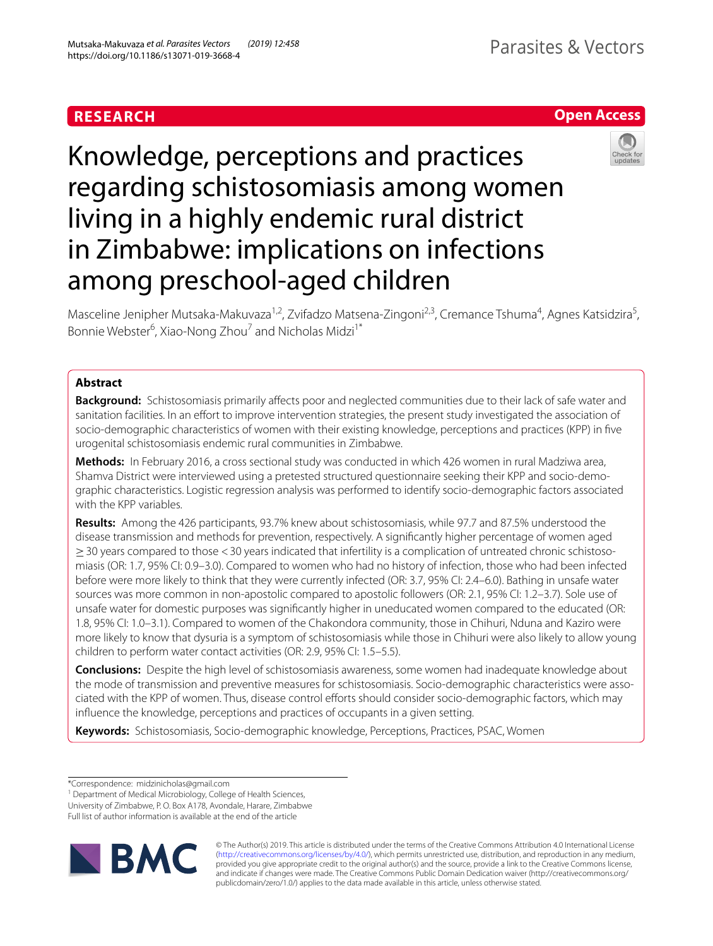# **Open Access**



Knowledge, perceptions and practices regarding schistosomiasis among women living in a highly endemic rural district in Zimbabwe: implications on infections among preschool-aged children

Masceline Jenipher Mutsaka-Makuvaza<sup>1,2</sup>, Zvifadzo Matsena-Zingoni<sup>2,3</sup>, Cremance Tshuma<sup>4</sup>, Agnes Katsidzira<sup>5</sup>, Bonnie Webster<sup>6</sup>, Xiao-Nong Zhou<sup>7</sup> and Nicholas Midzi<sup>1\*</sup>

# **Abstract**

**Background:** Schistosomiasis primarily affects poor and neglected communities due to their lack of safe water and sanitation facilities. In an efort to improve intervention strategies, the present study investigated the association of socio-demographic characteristics of women with their existing knowledge, perceptions and practices (KPP) in fve urogenital schistosomiasis endemic rural communities in Zimbabwe.

**Methods:** In February 2016, a cross sectional study was conducted in which 426 women in rural Madziwa area, Shamva District were interviewed using a pretested structured questionnaire seeking their KPP and socio-demographic characteristics. Logistic regression analysis was performed to identify socio-demographic factors associated with the KPP variables.

**Results:** Among the 426 participants, 93.7% knew about schistosomiasis, while 97.7 and 87.5% understood the disease transmission and methods for prevention, respectively. A signifcantly higher percentage of women aged ≥30 years compared to those <30 years indicated that infertility is a complication of untreated chronic schistoso‑ miasis (OR: 1.7, 95% CI: 0.9–3.0). Compared to women who had no history of infection, those who had been infected before were more likely to think that they were currently infected (OR: 3.7, 95% CI: 2.4–6.0). Bathing in unsafe water sources was more common in non-apostolic compared to apostolic followers (OR: 2.1, 95% CI: 1.2–3.7). Sole use of unsafe water for domestic purposes was signifcantly higher in uneducated women compared to the educated (OR: 1.8, 95% CI: 1.0–3.1). Compared to women of the Chakondora community, those in Chihuri, Nduna and Kaziro were more likely to know that dysuria is a symptom of schistosomiasis while those in Chihuri were also likely to allow young children to perform water contact activities (OR: 2.9, 95% CI: 1.5–5.5).

**Conclusions:** Despite the high level of schistosomiasis awareness, some women had inadequate knowledge about the mode of transmission and preventive measures for schistosomiasis. Socio-demographic characteristics were associated with the KPP of women. Thus, disease control eforts should consider socio-demographic factors, which may infuence the knowledge, perceptions and practices of occupants in a given setting.

**Keywords:** Schistosomiasis, Socio-demographic knowledge, Perceptions, Practices, PSAC, Women

\*Correspondence: midzinicholas@gmail.com

<sup>1</sup> Department of Medical Microbiology, College of Health Sciences,

University of Zimbabwe, P. O. Box A178, Avondale, Harare, Zimbabwe

Full list of author information is available at the end of the article



© The Author(s) 2019. This article is distributed under the terms of the Creative Commons Attribution 4.0 International License [\(http://creativecommons.org/licenses/by/4.0/\)](http://creativecommons.org/licenses/by/4.0/), which permits unrestricted use, distribution, and reproduction in any medium, provided you give appropriate credit to the original author(s) and the source, provide a link to the Creative Commons license, and indicate if changes were made. The Creative Commons Public Domain Dedication waiver (http://creativecommons.org/ publicdomain/zero/1.0/) applies to the data made available in this article, unless otherwise stated.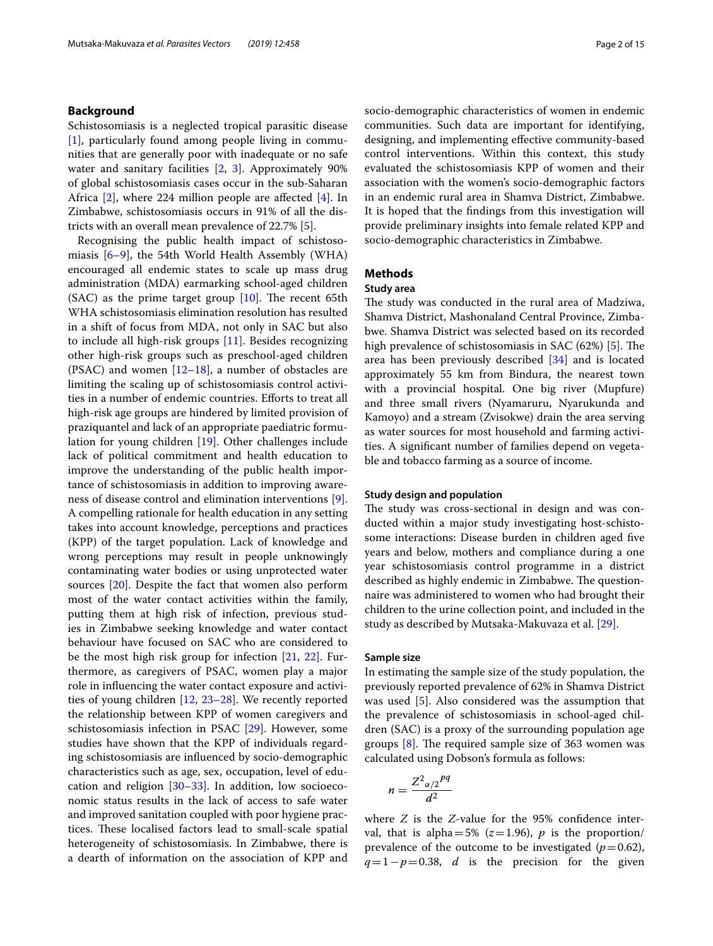### **Background**

Schistosomiasis is a neglected tropical parasitic disease [[1\]](#page-13-0), particularly found among people living in communities that are generally poor with inadequate or no safe water and sanitary facilities [\[2](#page-13-1), [3\]](#page-13-2). Approximately 90% of global schistosomiasis cases occur in the sub-Saharan Africa [[2\]](#page-13-1), where 224 million people are afected [[4\]](#page-13-3). In Zimbabwe, schistosomiasis occurs in 91% of all the districts with an overall mean prevalence of 22.7% [[5\]](#page-13-4).

Recognising the public health impact of schistosomiasis [[6–](#page-13-5)[9](#page-13-6)], the 54th World Health Assembly (WHA) encouraged all endemic states to scale up mass drug administration (MDA) earmarking school-aged children  $(SAC)$  as the prime target group  $[10]$  $[10]$ . The recent 65th WHA schistosomiasis elimination resolution has resulted in a shift of focus from MDA, not only in SAC but also to include all high-risk groups [[11\]](#page-13-8). Besides recognizing other high-risk groups such as preschool-aged children (PSAC) and women  $[12–18]$  $[12–18]$  $[12–18]$  $[12–18]$ , a number of obstacles are limiting the scaling up of schistosomiasis control activities in a number of endemic countries. Eforts to treat all high-risk age groups are hindered by limited provision of praziquantel and lack of an appropriate paediatric formulation for young children [[19\]](#page-13-11). Other challenges include lack of political commitment and health education to improve the understanding of the public health importance of schistosomiasis in addition to improving awareness of disease control and elimination interventions [\[9](#page-13-6)]. A compelling rationale for health education in any setting takes into account knowledge, perceptions and practices (KPP) of the target population. Lack of knowledge and wrong perceptions may result in people unknowingly contaminating water bodies or using unprotected water sources [\[20](#page-13-12)]. Despite the fact that women also perform most of the water contact activities within the family, putting them at high risk of infection, previous studies in Zimbabwe seeking knowledge and water contact behaviour have focused on SAC who are considered to be the most high risk group for infection [[21](#page-13-13), [22](#page-13-14)]. Furthermore, as caregivers of PSAC, women play a major role in infuencing the water contact exposure and activities of young children [\[12](#page-13-9), [23](#page-13-15)[–28\]](#page-13-16). We recently reported the relationship between KPP of women caregivers and schistosomiasis infection in PSAC [\[29](#page-13-17)]. However, some studies have shown that the KPP of individuals regarding schistosomiasis are infuenced by socio-demographic characteristics such as age, sex, occupation, level of education and religion [\[30–](#page-14-0)[33\]](#page-14-1). In addition, low socioeconomic status results in the lack of access to safe water and improved sanitation coupled with poor hygiene practices. These localised factors lead to small-scale spatial heterogeneity of schistosomiasis. In Zimbabwe, there is a dearth of information on the association of KPP and socio-demographic characteristics of women in endemic communities. Such data are important for identifying, designing, and implementing efective community-based control interventions. Within this context, this study evaluated the schistosomiasis KPP of women and their association with the women's socio-demographic factors in an endemic rural area in Shamva District, Zimbabwe. It is hoped that the fndings from this investigation will provide preliminary insights into female related KPP and socio-demographic characteristics in Zimbabwe.

## **Methods**

#### **Study area**

The study was conducted in the rural area of Madziwa, Shamva District, Mashonaland Central Province, Zimbabwe. Shamva District was selected based on its recorded high prevalence of schistosomiasis in SAC (62%) [\[5](#page-13-4)]. The area has been previously described [[34](#page-14-2)] and is located approximately 55 km from Bindura, the nearest town with a provincial hospital. One big river (Mupfure) and three small rivers (Nyamaruru, Nyarukunda and Kamoyo) and a stream (Zvisokwe) drain the area serving as water sources for most household and farming activities. A signifcant number of families depend on vegetable and tobacco farming as a source of income.

### **Study design and population**

The study was cross-sectional in design and was conducted within a major study investigating host-schistosome interactions: Disease burden in children aged fve years and below, mothers and compliance during a one year schistosomiasis control programme in a district described as highly endemic in Zimbabwe. The questionnaire was administered to women who had brought their children to the urine collection point, and included in the study as described by Mutsaka-Makuvaza et al. [[29\]](#page-13-17).

#### **Sample size**

In estimating the sample size of the study population, the previously reported prevalence of 62% in Shamva District was used [\[5\]](#page-13-4). Also considered was the assumption that the prevalence of schistosomiasis in school-aged children (SAC) is a proxy of the surrounding population age groups  $[8]$  $[8]$ . The required sample size of 363 women was calculated using Dobson's formula as follows:

$$
n = \frac{Z^2_{\alpha/2}^{pq}}{d^2}
$$

where *Z* is the *Z*-value for the 95% confidence interval, that is alpha=5%  $(z=1.96)$ , *p* is the proportion/ prevalence of the outcome to be investigated  $(p=0.62)$ , *q*=1−*p*=0.38, *d* is the precision for the given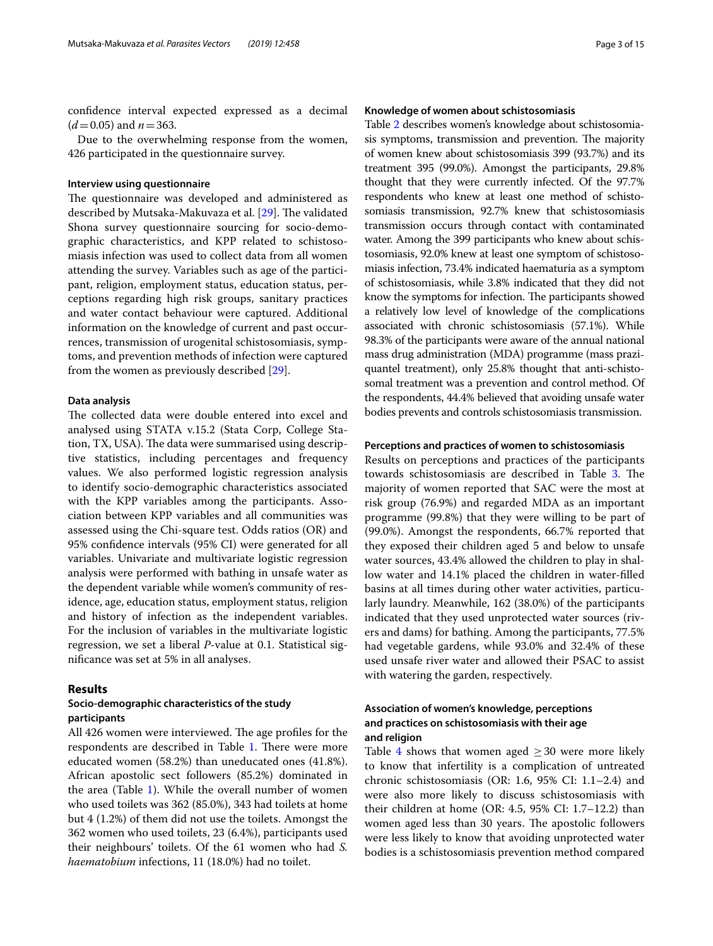confdence interval expected expressed as a decimal  $(d=0.05)$  and  $n=363$ .

Due to the overwhelming response from the women, 426 participated in the questionnaire survey.

#### **Interview using questionnaire**

The questionnaire was developed and administered as described by Mutsaka-Makuvaza et al. [\[29](#page-13-17)]. The validated Shona survey questionnaire sourcing for socio-demographic characteristics, and KPP related to schistosomiasis infection was used to collect data from all women attending the survey. Variables such as age of the participant, religion, employment status, education status, perceptions regarding high risk groups, sanitary practices and water contact behaviour were captured. Additional information on the knowledge of current and past occurrences, transmission of urogenital schistosomiasis, symptoms, and prevention methods of infection were captured from the women as previously described [\[29](#page-13-17)].

#### **Data analysis**

The collected data were double entered into excel and analysed using STATA v.15.2 (Stata Corp, College Station, TX, USA). The data were summarised using descriptive statistics, including percentages and frequency values. We also performed logistic regression analysis to identify socio-demographic characteristics associated with the KPP variables among the participants. Association between KPP variables and all communities was assessed using the Chi-square test. Odds ratios (OR) and 95% confdence intervals (95% CI) were generated for all variables. Univariate and multivariate logistic regression analysis were performed with bathing in unsafe water as the dependent variable while women's community of residence, age, education status, employment status, religion and history of infection as the independent variables. For the inclusion of variables in the multivariate logistic regression, we set a liberal *P*-value at 0.1. Statistical signifcance was set at 5% in all analyses.

### **Results**

## **Socio‑demographic characteristics of the study participants**

All 426 women were interviewed. The age profiles for the respondents are described in Table [1.](#page-3-0) There were more educated women (58.2%) than uneducated ones (41.8%). African apostolic sect followers (85.2%) dominated in the area (Table [1\)](#page-3-0). While the overall number of women who used toilets was 362 (85.0%), 343 had toilets at home but 4 (1.2%) of them did not use the toilets. Amongst the 362 women who used toilets, 23 (6.4%), participants used their neighbours' toilets. Of the 61 women who had *S. haematobium* infections, 11 (18.0%) had no toilet.

### **Knowledge of women about schistosomiasis**

Table [2](#page-4-0) describes women's knowledge about schistosomiasis symptoms, transmission and prevention. The majority of women knew about schistosomiasis 399 (93.7%) and its treatment 395 (99.0%). Amongst the participants, 29.8% thought that they were currently infected. Of the 97.7% respondents who knew at least one method of schistosomiasis transmission, 92.7% knew that schistosomiasis transmission occurs through contact with contaminated water. Among the 399 participants who knew about schistosomiasis, 92.0% knew at least one symptom of schistosomiasis infection, 73.4% indicated haematuria as a symptom of schistosomiasis, while 3.8% indicated that they did not know the symptoms for infection. The participants showed a relatively low level of knowledge of the complications associated with chronic schistosomiasis (57.1%). While 98.3% of the participants were aware of the annual national mass drug administration (MDA) programme (mass praziquantel treatment), only 25.8% thought that anti-schistosomal treatment was a prevention and control method. Of the respondents, 44.4% believed that avoiding unsafe water bodies prevents and controls schistosomiasis transmission.

### **Perceptions and practices of women to schistosomiasis**

Results on perceptions and practices of the participants towards schistosomiasis are described in Table [3](#page-5-0). The majority of women reported that SAC were the most at risk group (76.9%) and regarded MDA as an important programme (99.8%) that they were willing to be part of (99.0%). Amongst the respondents, 66.7% reported that they exposed their children aged 5 and below to unsafe water sources, 43.4% allowed the children to play in shallow water and 14.1% placed the children in water-flled basins at all times during other water activities, particularly laundry. Meanwhile, 162 (38.0%) of the participants indicated that they used unprotected water sources (rivers and dams) for bathing. Among the participants, 77.5% had vegetable gardens, while 93.0% and 32.4% of these used unsafe river water and allowed their PSAC to assist with watering the garden, respectively.

# **Association of women's knowledge, perceptions and practices on schistosomiasis with their age and religion**

Table [4](#page-7-0) shows that women aged  $\geq$  30 were more likely to know that infertility is a complication of untreated chronic schistosomiasis (OR: 1.6, 95% CI: 1.1–2.4) and were also more likely to discuss schistosomiasis with their children at home (OR: 4.5, 95% CI: 1.7–12.2) than women aged less than 30 years. The apostolic followers were less likely to know that avoiding unprotected water bodies is a schistosomiasis prevention method compared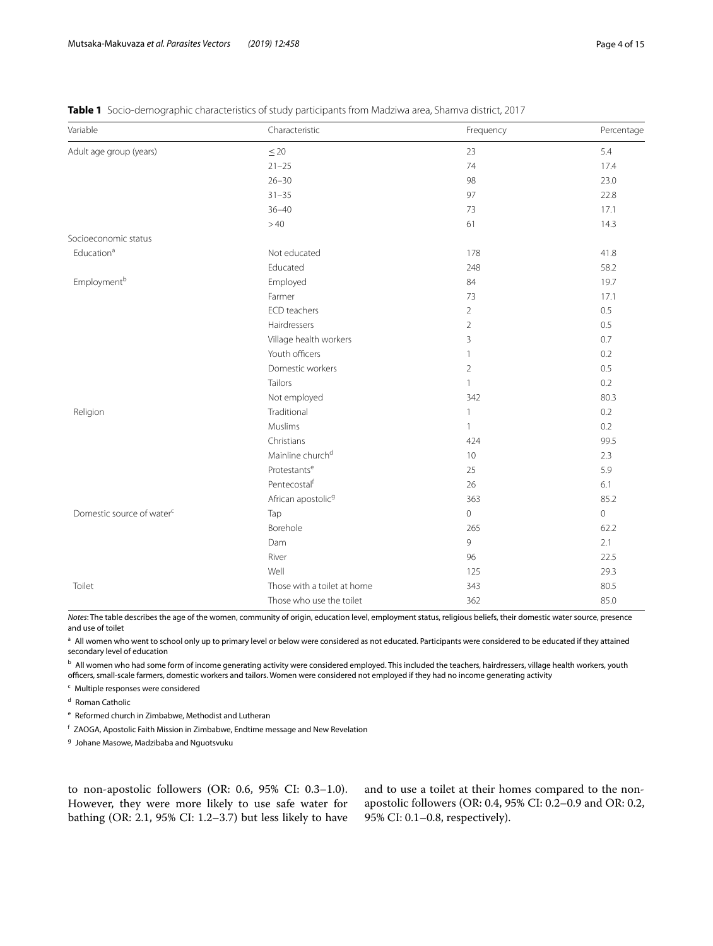| Variable                              | Characteristic                 | Frequency      | Percentage  |
|---------------------------------------|--------------------------------|----------------|-------------|
| Adult age group (years)               | $\leq$ 20                      | 23             | 5.4         |
|                                       | $21 - 25$                      | 74             | 17.4        |
|                                       | $26 - 30$                      | 98             | 23.0        |
|                                       | $31 - 35$                      | 97             | 22.8        |
|                                       | $36 - 40$                      | 73             | 17.1        |
|                                       | >40                            | 61             | 14.3        |
| Socioeconomic status                  |                                |                |             |
| Education <sup>a</sup>                | Not educated                   | 178            | 41.8        |
|                                       | Educated                       | 248            | 58.2        |
| Employment <sup>b</sup>               | Employed                       | 84             | 19.7        |
|                                       | Farmer                         | 73             | 17.1        |
|                                       | ECD teachers                   | $\overline{2}$ | 0.5         |
|                                       | Hairdressers                   | $\overline{2}$ | 0.5         |
|                                       | Village health workers         | 3              | 0.7         |
|                                       | Youth officers                 | $\mathbf{1}$   | 0.2         |
|                                       | Domestic workers               | $\overline{2}$ | 0.5         |
|                                       | Tailors                        | $\mathbf{1}$   | 0.2         |
|                                       | Not employed                   | 342            | 80.3        |
| Religion                              | Traditional                    | 1              | 0.2         |
|                                       | Muslims                        | $\mathbf{1}$   | 0.2         |
|                                       | Christians                     | 424            | 99.5        |
|                                       | Mainline church <sup>d</sup>   | 10             | 2.3         |
|                                       | Protestants <sup>e</sup>       | 25             | 5.9         |
|                                       | Pentecostalf                   | 26             | 6.1         |
|                                       | African apostolic <sup>9</sup> | 363            | 85.2        |
| Domestic source of water <sup>c</sup> | Tap                            | 0              | $\mathbf 0$ |
|                                       | Borehole                       | 265            | 62.2        |
|                                       | Dam                            | 9              | 2.1         |
|                                       | River                          | 96             | 22.5        |
|                                       | Well                           | 125            | 29.3        |
| Toilet                                | Those with a toilet at home    | 343            | 80.5        |
|                                       | Those who use the toilet       | 362            | 85.0        |
|                                       |                                |                |             |

<span id="page-3-0"></span>**Table 1** Socio-demographic characteristics of study participants from Madziwa area, Shamva district, 2017

*Notes*: The table describes the age of the women, community of origin, education level, employment status, religious beliefs, their domestic water source, presence and use of toilet

<sup>a</sup> All women who went to school only up to primary level or below were considered as not educated. Participants were considered to be educated if they attained secondary level of education

<sup>b</sup> All women who had some form of income generating activity were considered employed. This included the teachers, hairdressers, village health workers, youth officers, small-scale farmers, domestic workers and tailors. Women were considered not employed if they had no income generating activity

<sup>c</sup> Multiple responses were considered

<sup>d</sup> Roman Catholic

<sup>e</sup> Reformed church in Zimbabwe, Methodist and Lutheran

<sup>f</sup> ZAOGA, Apostolic Faith Mission in Zimbabwe, Endtime message and New Revelation

<sup>g</sup> Johane Masowe, Madzibaba and Nguotsvuku

to non-apostolic followers (OR: 0.6, 95% CI: 0.3–1.0). However, they were more likely to use safe water for bathing (OR: 2.1, 95% CI: 1.2–3.7) but less likely to have and to use a toilet at their homes compared to the nonapostolic followers (OR: 0.4, 95% CI: 0.2–0.9 and OR: 0.2, 95% CI: 0.1–0.8, respectively).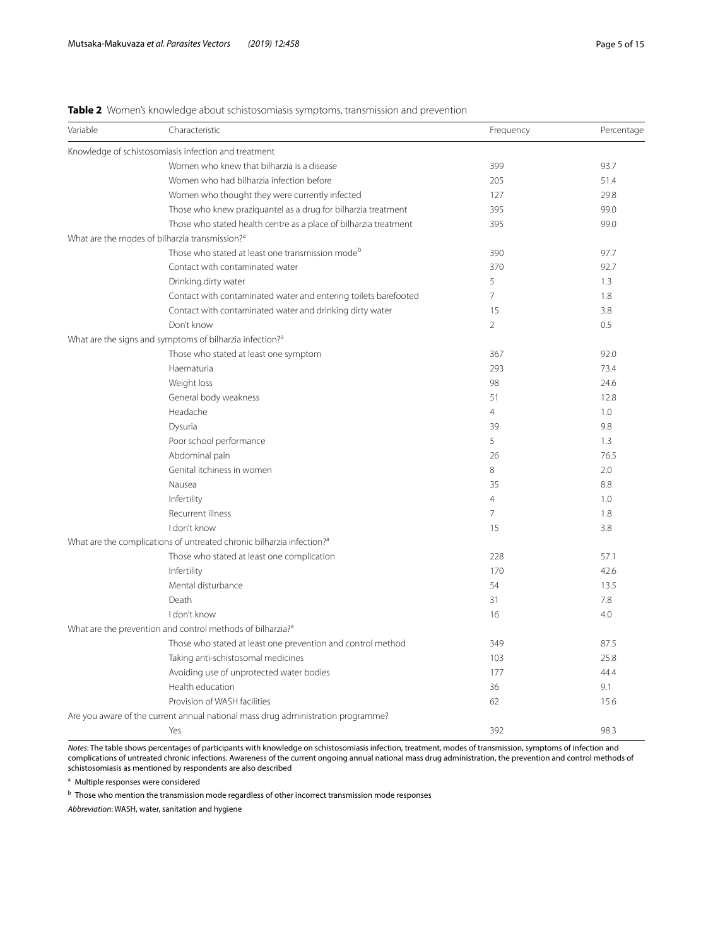<span id="page-4-0"></span>**Table 2** Women's knowledge about schistosomiasis symptoms, transmission and prevention

| Variable | Characteristic                                                                    | Frequency      | Percentage |
|----------|-----------------------------------------------------------------------------------|----------------|------------|
|          | Knowledge of schistosomiasis infection and treatment                              |                |            |
|          | Women who knew that bilharzia is a disease                                        | 399            | 93.7       |
|          | Women who had bilharzia infection before                                          | 205            | 51.4       |
|          | Women who thought they were currently infected                                    | 127            | 29.8       |
|          | Those who knew praziquantel as a drug for bilharzia treatment                     | 395            | 99.0       |
|          | Those who stated health centre as a place of bilharzia treatment                  | 395            | 99.0       |
|          | What are the modes of bilharzia transmission? <sup>a</sup>                        |                |            |
|          | Those who stated at least one transmission mode <sup>b</sup>                      | 390            | 97.7       |
|          | Contact with contaminated water                                                   | 370            | 92.7       |
|          | Drinking dirty water                                                              | 5              | 1.3        |
|          | Contact with contaminated water and entering toilets barefooted                   | $\overline{7}$ | 1.8        |
|          | Contact with contaminated water and drinking dirty water                          | 15             | 3.8        |
|          | Don't know                                                                        | $\mathcal{P}$  | 0.5        |
|          | What are the signs and symptoms of bilharzia infection? <sup>a</sup>              |                |            |
|          | Those who stated at least one symptom                                             | 367            | 92.0       |
|          | Haematuria                                                                        | 293            | 73.4       |
|          | Weight loss                                                                       | 98             | 24.6       |
|          | General body weakness                                                             | 51             | 12.8       |
|          | Headache                                                                          | $\overline{4}$ | 1.0        |
|          | Dysuria                                                                           | 39             | 9.8        |
|          | Poor school performance                                                           | 5              | 1.3        |
|          | Abdominal pain                                                                    | 26             | 76.5       |
|          | Genital itchiness in women                                                        | 8              | 2.0        |
|          | Nausea                                                                            | 35             | 8.8        |
|          | Infertility                                                                       | $\overline{4}$ | 1.0        |
|          | Recurrent illness                                                                 | $\overline{7}$ | 1.8        |
|          | I don't know                                                                      | 15             | 3.8        |
|          | What are the complications of untreated chronic bilharzia infection? <sup>a</sup> |                |            |
|          | Those who stated at least one complication                                        | 228            | 57.1       |
|          | Infertility                                                                       | 170            | 42.6       |
|          | Mental disturbance                                                                | 54             | 13.5       |
|          | Death                                                                             | 31             | 7.8        |
|          | I don't know                                                                      | 16             | 4.0        |
|          | What are the prevention and control methods of bilharzia? <sup>a</sup>            |                |            |
|          | Those who stated at least one prevention and control method                       | 349            | 87.5       |
|          | Taking anti-schistosomal medicines                                                | 103            | 25.8       |
|          | Avoiding use of unprotected water bodies                                          | 177            | 44.4       |
|          | Health education                                                                  | 36             | 9.1        |
|          | Provision of WASH facilities                                                      | 62             | 15.6       |
|          | Are you aware of the current annual national mass drug administration programme?  |                |            |
|          | Yes                                                                               | 392            | 98.3       |

*Notes*: The table shows percentages of participants with knowledge on schistosomiasis infection, treatment, modes of transmission, symptoms of infection and complications of untreated chronic infections. Awareness of the current ongoing annual national mass drug administration, the prevention and control methods of schistosomiasis as mentioned by respondents are also described

<sup>a</sup> Multiple responses were considered

 $<sup>b</sup>$  Those who mention the transmission mode regardless of other incorrect transmission mode responses</sup>

*Abbreviation*: WASH, water, sanitation and hygiene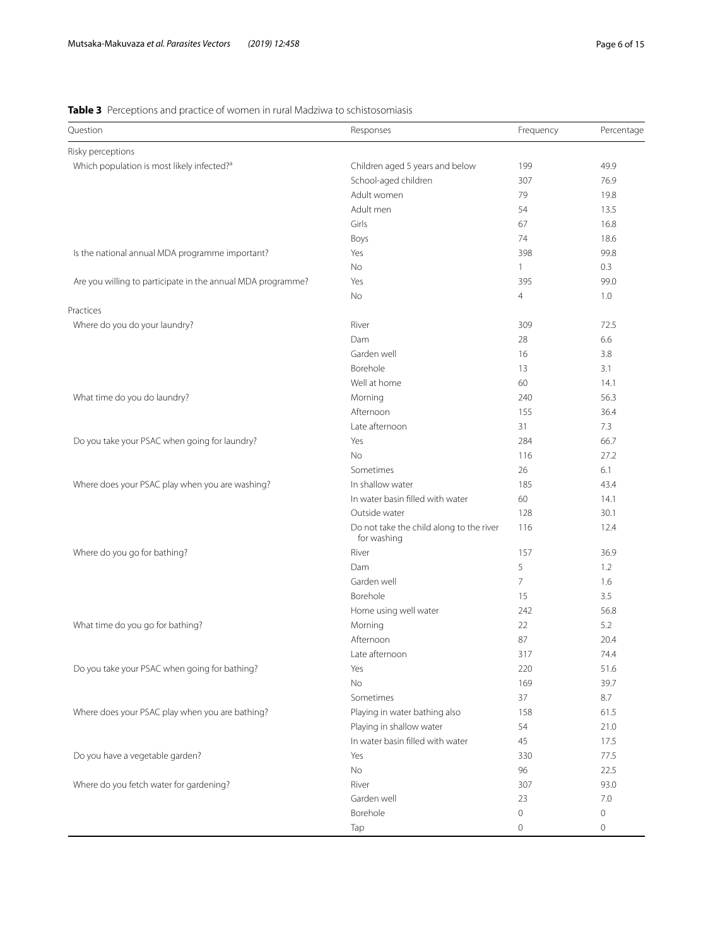# <span id="page-5-0"></span>**Table 3** Perceptions and practice of women in rural Madziwa to schistosomiasis

| Question                                                    | Responses                                               | Frequency      | Percentage  |
|-------------------------------------------------------------|---------------------------------------------------------|----------------|-------------|
| Risky perceptions                                           |                                                         |                |             |
| Which population is most likely infected? <sup>a</sup>      | Children aged 5 years and below                         | 199            | 49.9        |
|                                                             | School-aged children                                    | 307            | 76.9        |
|                                                             | Adult women                                             | 79             | 19.8        |
|                                                             | Adult men                                               | 54             | 13.5        |
|                                                             | Girls                                                   | 67             | 16.8        |
|                                                             | Boys                                                    | 74             | 18.6        |
| Is the national annual MDA programme important?             | Yes                                                     | 398            | 99.8        |
|                                                             | No                                                      | $\mathbf{1}$   | 0.3         |
| Are you willing to participate in the annual MDA programme? | Yes                                                     | 395            | 99.0        |
|                                                             | No                                                      | $\overline{4}$ | 1.0         |
| Practices                                                   |                                                         |                |             |
| Where do you do your laundry?                               | River                                                   | 309            | 72.5        |
|                                                             | Dam                                                     | 28             | 6.6         |
|                                                             | Garden well                                             | 16             | 3.8         |
|                                                             | Borehole                                                | 13             | 3.1         |
|                                                             | Well at home                                            | 60             | 14.1        |
| What time do you do laundry?                                | Morning                                                 | 240            | 56.3        |
|                                                             | Afternoon                                               | 155            | 36.4        |
|                                                             | Late afternoon                                          | 31             | 7.3         |
| Do you take your PSAC when going for laundry?               | Yes                                                     | 284            | 66.7        |
|                                                             | <b>No</b>                                               | 116            | 27.2        |
|                                                             | Sometimes                                               | 26             | 6.1         |
| Where does your PSAC play when you are washing?             | In shallow water                                        | 185            | 43.4        |
|                                                             | In water basin filled with water                        | 60             | 14.1        |
|                                                             | Outside water                                           | 128            | 30.1        |
|                                                             |                                                         | 116            | 12.4        |
|                                                             | Do not take the child along to the river<br>for washing |                |             |
| Where do you go for bathing?                                | River                                                   | 157            | 36.9        |
|                                                             | Dam                                                     | 5              | 1.2         |
|                                                             | Garden well                                             | 7              | 1.6         |
|                                                             | Borehole                                                | 15             | 3.5         |
|                                                             | Home using well water                                   | 242            | 56.8        |
| What time do you go for bathing?                            | Morning                                                 | 22             | 5.2         |
|                                                             | Afternoon                                               | 87             | 20.4        |
|                                                             | Late afternoon                                          | 317            | 74.4        |
| Do you take your PSAC when going for bathing?               | Yes                                                     | 220            | 51.6        |
|                                                             | No                                                      | 169            | 39.7        |
|                                                             | Sometimes                                               | 37             | 8.7         |
| Where does your PSAC play when you are bathing?             | Playing in water bathing also                           | 158            | 61.5        |
|                                                             | Playing in shallow water                                | 54             | 21.0        |
|                                                             | In water basin filled with water                        | 45             | 17.5        |
| Do you have a vegetable garden?                             | Yes                                                     | 330            | 77.5        |
|                                                             | No                                                      | 96             | 22.5        |
| Where do you fetch water for gardening?                     | River                                                   | 307            | 93.0        |
|                                                             | Garden well                                             | 23             | 7.0         |
|                                                             | Borehole                                                | $\circ$        | $\mathbf 0$ |
|                                                             | Tap                                                     | $\circ$        | 0           |
|                                                             |                                                         |                |             |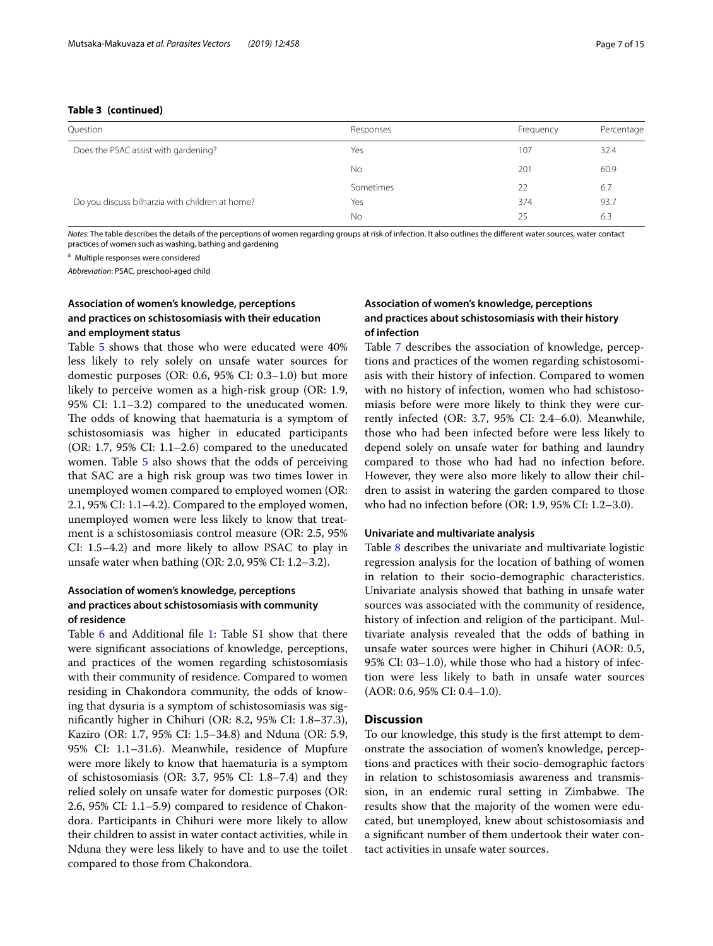### **Table 3 (continued)**

| Question                                        | Responses | Frequency | Percentage |  |
|-------------------------------------------------|-----------|-----------|------------|--|
| Does the PSAC assist with gardening?            | Yes       | 107       | 32.4       |  |
|                                                 | No        | 201       | 60.9       |  |
|                                                 | Sometimes | 22        | 6.7        |  |
| Do you discuss bilharzia with children at home? | Yes       | 374       | 93.7       |  |
|                                                 | No        | 25        | 6.3        |  |

*Notes*: The table describes the details of the perceptions of women regarding groups at risk of infection. It also outlines the diferent water sources, water contact practices of women such as washing, bathing and gardening

<sup>a</sup> Multiple responses were considered

*Abbreviation*: PSAC, preschool-aged child

# **Association of women's knowledge, perceptions and practices on schistosomiasis with their education and employment status**

Table [5](#page-8-0) shows that those who were educated were 40% less likely to rely solely on unsafe water sources for domestic purposes (OR: 0.6, 95% CI: 0.3–1.0) but more likely to perceive women as a high-risk group (OR: 1.9, 95% CI: 1.1–3.2) compared to the uneducated women. The odds of knowing that haematuria is a symptom of schistosomiasis was higher in educated participants (OR: 1.7, 95% CI: 1.1–2.6) compared to the uneducated women. Table [5](#page-8-0) also shows that the odds of perceiving that SAC are a high risk group was two times lower in unemployed women compared to employed women (OR: 2.1, 95% CI: 1.1–4.2). Compared to the employed women, unemployed women were less likely to know that treatment is a schistosomiasis control measure (OR: 2.5, 95% CI: 1.5–4.2) and more likely to allow PSAC to play in unsafe water when bathing (OR: 2.0, 95% CI: 1.2–3.2).

# **Association of women's knowledge, perceptions and practices about schistosomiasis with community of residence**

Table [6](#page-9-0) and Additional file [1:](#page-12-0) Table S1 show that there were signifcant associations of knowledge, perceptions, and practices of the women regarding schistosomiasis with their community of residence. Compared to women residing in Chakondora community, the odds of knowing that dysuria is a symptom of schistosomiasis was signifcantly higher in Chihuri (OR: 8.2, 95% CI: 1.8–37.3), Kaziro (OR: 1.7, 95% CI: 1.5–34.8) and Nduna (OR: 5.9, 95% CI: 1.1–31.6). Meanwhile, residence of Mupfure were more likely to know that haematuria is a symptom of schistosomiasis (OR: 3.7, 95% CI: 1.8–7.4) and they relied solely on unsafe water for domestic purposes (OR: 2.6, 95% CI: 1.1–5.9) compared to residence of Chakondora. Participants in Chihuri were more likely to allow their children to assist in water contact activities, while in Nduna they were less likely to have and to use the toilet compared to those from Chakondora.

# **Association of women's knowledge, perceptions and practices about schistosomiasis with their history of infection**

Table [7](#page-10-0) describes the association of knowledge, perceptions and practices of the women regarding schistosomiasis with their history of infection. Compared to women with no history of infection, women who had schistosomiasis before were more likely to think they were currently infected (OR: 3.7, 95% CI: 2.4–6.0). Meanwhile, those who had been infected before were less likely to depend solely on unsafe water for bathing and laundry compared to those who had had no infection before. However, they were also more likely to allow their children to assist in watering the garden compared to those who had no infection before (OR: 1.9, 95% CI: 1.2–3.0).

### **Univariate and multivariate analysis**

Table [8](#page-11-0) describes the univariate and multivariate logistic regression analysis for the location of bathing of women in relation to their socio-demographic characteristics. Univariate analysis showed that bathing in unsafe water sources was associated with the community of residence, history of infection and religion of the participant. Multivariate analysis revealed that the odds of bathing in unsafe water sources were higher in Chihuri (AOR: 0.5, 95% CI: 03–1.0), while those who had a history of infection were less likely to bath in unsafe water sources (AOR: 0.6, 95% CI: 0.4–1.0).

### **Discussion**

To our knowledge, this study is the frst attempt to demonstrate the association of women's knowledge, perceptions and practices with their socio-demographic factors in relation to schistosomiasis awareness and transmission, in an endemic rural setting in Zimbabwe. The results show that the majority of the women were educated, but unemployed, knew about schistosomiasis and a signifcant number of them undertook their water contact activities in unsafe water sources.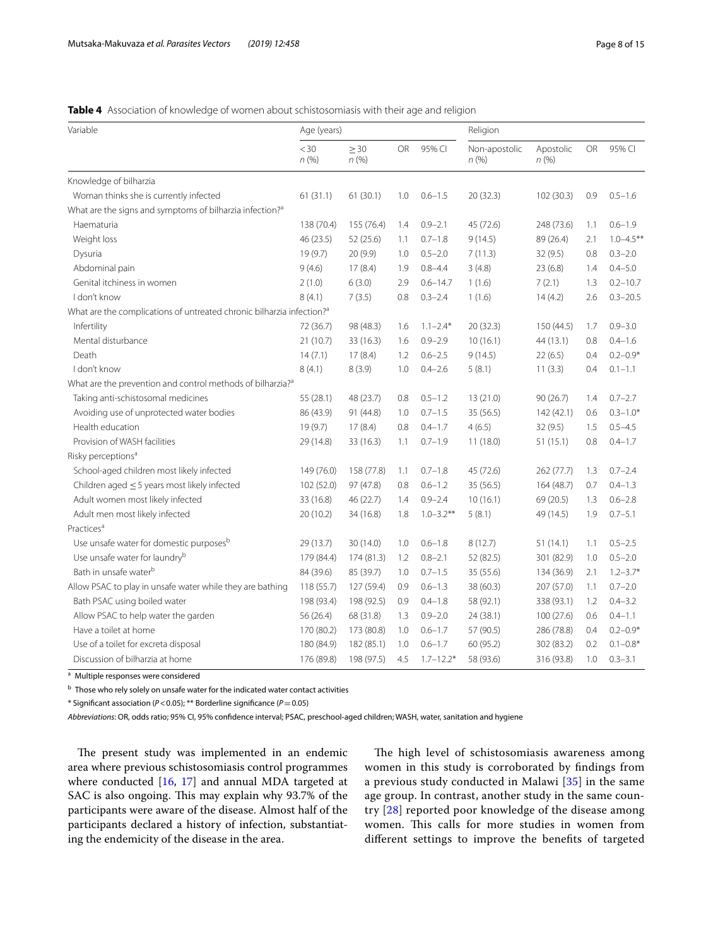<span id="page-7-0"></span>

|  |  | <b>Table 4</b> Association of knowledge of women about schistosomiasis with their age and religion |  |  |
|--|--|----------------------------------------------------------------------------------------------------|--|--|
|  |  |                                                                                                    |  |  |

| Variable                                                                          | Age (years)    | Religion          |           |                |                       |                      |           |                |
|-----------------------------------------------------------------------------------|----------------|-------------------|-----------|----------------|-----------------------|----------------------|-----------|----------------|
|                                                                                   | $<$ 30<br>n(%) | $\geq 30$<br>n(%) | <b>OR</b> | 95% CI         | Non-apostolic<br>n(%) | Apostolic<br>$n$ (%) | <b>OR</b> | 95% CI         |
| Knowledge of bilharzia                                                            |                |                   |           |                |                       |                      |           |                |
| Woman thinks she is currently infected                                            | 61(31.1)       | 61(30.1)          | 1.0       | $0.6 - 1.5$    | 20(32.3)              | 102 (30.3)           | 0.9       | $0.5 - 1.6$    |
| What are the signs and symptoms of bilharzia infection? <sup>a</sup>              |                |                   |           |                |                       |                      |           |                |
| Haematuria                                                                        | 138 (70.4)     | 155 (76.4)        | 1.4       | $0.9 - 2.1$    | 45 (72.6)             | 248 (73.6)           | 1.1       | $0.6 - 1.9$    |
| Weight loss                                                                       | 46 (23.5)      | 52 (25.6)         | 1.1       | $0.7 - 1.8$    | 9(14.5)               | 89 (26.4)            | 2.1       | $1.0 - 4.5***$ |
| Dysuria                                                                           | 19 (9.7)       | 20 (9.9)          | 1.0       | $0.5 - 2.0$    | 7(11.3)               | 32(9.5)              | 0.8       | $0.3 - 2.0$    |
| Abdominal pain                                                                    | 9(4.6)         | 17(8.4)           | 1.9       | $0.8 - 4.4$    | 3(4.8)                | 23(6.8)              | 1.4       | $0.4 - 5.0$    |
| Genital itchiness in women                                                        | 2(1.0)         | 6(3.0)            | 2.9       | $0.6 - 14.7$   | 1(1.6)                | 7(2.1)               | 1.3       | $0.2 - 10.7$   |
| I don't know                                                                      | 8(4.1)         | 7(3.5)            | 0.8       | $0.3 - 2.4$    | 1(1.6)                | 14(4.2)              | 2.6       | $0.3 - 20.5$   |
| What are the complications of untreated chronic bilharzia infection? <sup>a</sup> |                |                   |           |                |                       |                      |           |                |
| Infertility                                                                       | 72 (36.7)      | 98 (48.3)         | 1.6       | $1.1 - 2.4*$   | 20(32.3)              | 150 (44.5)           | 1.7       | $0.9 - 3.0$    |
| Mental disturbance                                                                | 21 (10.7)      | 33 (16.3)         | 1.6       | $0.9 - 2.9$    | 10(16.1)              | 44 (13.1)            | 0.8       | $0.4 - 1.6$    |
| Death                                                                             | 14(7.1)        | 17(8.4)           | 1.2       | $0.6 - 2.5$    | 9(14.5)               | 22(6.5)              | 0.4       | $0.2 - 0.9*$   |
| I don't know                                                                      | 8(4.1)         | 8(3.9)            | 1.0       | $0.4 - 2.6$    | 5(8.1)                | 11(3.3)              | 0.4       | $0.1 - 1.1$    |
| What are the prevention and control methods of bilharzia? <sup>a</sup>            |                |                   |           |                |                       |                      |           |                |
| Taking anti-schistosomal medicines                                                | 55 (28.1)      | 48 (23.7)         | 0.8       | $0.5 - 1.2$    | 13(21.0)              | 90(26.7)             | 1.4       | $0.7 - 2.7$    |
| Avoiding use of unprotected water bodies                                          | 86 (43.9)      | 91 (44.8)         | 1.0       | $0.7 - 1.5$    | 35 (56.5)             | 142 (42.1)           | 0.6       | $0.3 - 1.0*$   |
| Health education                                                                  | 19(9.7)        | 17(8.4)           | 0.8       | $0.4 - 1.7$    | 4(6.5)                | 32 (9.5)             | 1.5       | $0.5 - 4.5$    |
| Provision of WASH facilities                                                      | 29 (14.8)      | 33 (16.3)         | 1.1       | $0.7 - 1.9$    | 11(18.0)              | 51(15.1)             | 0.8       | $0.4 - 1.7$    |
| Risky perceptions <sup>a</sup>                                                    |                |                   |           |                |                       |                      |           |                |
| School-aged children most likely infected                                         | 149 (76.0)     | 158 (77.8)        | 1.1       | $0.7 - 1.8$    | 45 (72.6)             | 262 (77.7)           | 1.3       | $0.7 - 2.4$    |
| Children aged $\leq$ 5 years most likely infected                                 | 102 (52.0)     | 97 (47.8)         | 0.8       | $0.6 - 1.2$    | 35(56.5)              | 164 (48.7)           | 0.7       | $0.4 - 1.3$    |
| Adult women most likely infected                                                  | 33 (16.8)      | 46 (22.7)         | 1.4       | $0.9 - 2.4$    | 10(16.1)              | 69 (20.5)            | 1.3       | $0.6 - 2.8$    |
| Adult men most likely infected                                                    | 20 (10.2)      | 34 (16.8)         | 1.8       | $1.0 - 3.2$ ** | 5(8.1)                | 49 (14.5)            | 1.9       | $0.7 - 5.1$    |
| Practices <sup>a</sup>                                                            |                |                   |           |                |                       |                      |           |                |
| Use unsafe water for domestic purposes <sup>b</sup>                               | 29 (13.7)      | 30 (14.0)         | 1.0       | $0.6 - 1.8$    | 8(12.7)               | 51(14.1)             | 1.1       | $0.5 - 2.5$    |
| Use unsafe water for laundryb                                                     | 179 (84.4)     | 174 (81.3)        | 1.2       | $0.8 - 2.1$    | 52 (82.5)             | 301 (82.9)           | 1.0       | $0.5 - 2.0$    |
| Bath in unsafe water <sup>b</sup>                                                 | 84 (39.6)      | 85 (39.7)         | 1.0       | $0.7 - 1.5$    | 35 (55.6)             | 134 (36.9)           | 2.1       | $1.2 - 3.7*$   |
| Allow PSAC to play in unsafe water while they are bathing                         | 118 (55.7)     | 127 (59.4)        | 0.9       | $0.6 - 1.3$    | 38 (60.3)             | 207 (57.0)           | 1.1       | $0.7 - 2.0$    |
| Bath PSAC using boiled water                                                      | 198 (93.4)     | 198 (92.5)        | 0.9       | $0.4 - 1.8$    | 58 (92.1)             | 338 (93.1)           | 1.2       | $0.4 - 3.2$    |
| Allow PSAC to help water the garden                                               | 56 (26.4)      | 68 (31.8)         | 1.3       | $0.9 - 2.0$    | 24 (38.1)             | 100 (27.6)           | 0.6       | $0.4 - 1.1$    |
| Have a toilet at home                                                             | 170 (80.2)     | 173 (80.8)        | 1.0       | $0.6 - 1.7$    | 57 (90.5)             | 286 (78.8)           | 0.4       | $0.2 - 0.9*$   |
| Use of a toilet for excreta disposal                                              | 180 (84.9)     | 182 (85.1)        | 1.0       | $0.6 - 1.7$    | 60 (95.2)             | 302 (83.2)           | 0.2       | $0.1 - 0.8*$   |
| Discussion of bilharzia at home                                                   | 176 (89.8)     | 198 (97.5)        | 4.5       | $1.7 - 12.2*$  | 58 (93.6)             | 316 (93.8)           | 1.0       | $0.3 - 3.1$    |

<sup>a</sup> Multiple responses were considered

 $<sup>b</sup>$  Those who rely solely on unsafe water for the indicated water contact activities</sup>

\* Significant association ( $P < 0.05$ ); \*\* Borderline significance ( $P = 0.05$ )

*Abbreviations*: OR, odds ratio; 95% CI, 95% confdence interval; PSAC, preschool-aged children; WASH, water, sanitation and hygiene

The present study was implemented in an endemic area where previous schistosomiasis control programmes where conducted [\[16](#page-13-19), [17](#page-13-20)] and annual MDA targeted at SAC is also ongoing. This may explain why 93.7% of the participants were aware of the disease. Almost half of the participants declared a history of infection, substantiating the endemicity of the disease in the area.

The high level of schistosomiasis awareness among women in this study is corroborated by fndings from a previous study conducted in Malawi [\[35](#page-14-3)] in the same age group. In contrast, another study in the same country [[28](#page-13-16)] reported poor knowledge of the disease among women. This calls for more studies in women from diferent settings to improve the benefts of targeted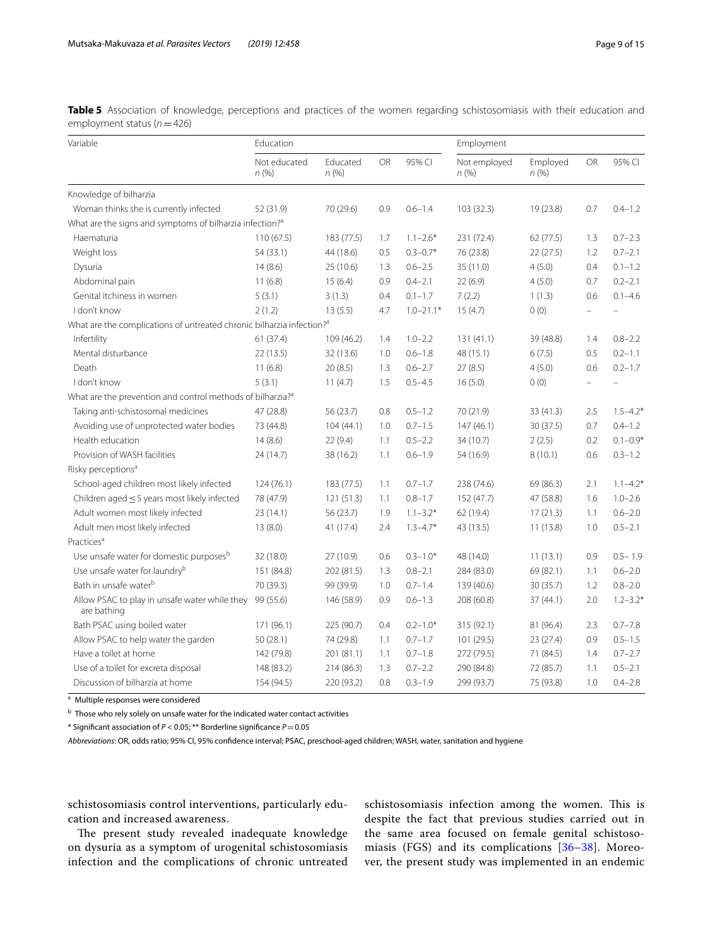<span id="page-8-0"></span>Table 5 Association of knowledge, perceptions and practices of the women regarding schistosomiasis with their education and employment status (*n*=426)

| Variable                                                                          | Education            |                  |           |               | Employment            |                  |           |              |
|-----------------------------------------------------------------------------------|----------------------|------------------|-----------|---------------|-----------------------|------------------|-----------|--------------|
|                                                                                   | Not educated<br>n(%) | Educated<br>n(%) | <b>OR</b> | 95% CI        | Not employed<br>n (%) | Employed<br>n(%) | <b>OR</b> | 95% CI       |
| Knowledge of bilharzia                                                            |                      |                  |           |               |                       |                  |           |              |
| Woman thinks she is currently infected                                            | 52 (31.9)            | 70 (29.6)        | 0.9       | $0.6 - 1.4$   | 103 (32.3)            | 19 (23.8)        | 0.7       | $0.4 - 1.2$  |
| What are the signs and symptoms of bilharzia infection? <sup>a</sup>              |                      |                  |           |               |                       |                  |           |              |
| Haematuria                                                                        | 110(67.5)            | 183 (77.5)       | 1.7       | $1.1 - 2.6*$  | 231 (72.4)            | 62(77.5)         | 1.3       | $0.7 - 2.3$  |
| Weight loss                                                                       | 54 (33.1)            | 44 (18.6)        | 0.5       | $0.3 - 0.7*$  | 76 (23.8)             | 22(27.5)         | 1.2       | $0.7 - 2.1$  |
| Dysuria                                                                           | 14(8.6)              | 25 (10.6)        | 1.3       | $0.6 - 2.5$   | 35 (11.0)             | 4(5.0)           | 0.4       | $0.1 - 1.2$  |
| Abdominal pain                                                                    | 11(6.8)              | 15(6.4)          | 0.9       | $0.4 - 2.1$   | 22(6.9)               | 4(5.0)           | 0.7       | $0.2 - 2.1$  |
| Genital itchiness in women                                                        | 5(3.1)               | 3(1.3)           | 0.4       | $0.1 - 1.7$   | 7(2.2)                | 1(1.3)           | 0.6       | $0.1 - 4.6$  |
| I don't know                                                                      | 2(1.2)               | 13(5.5)          | 4.7       | $1.0 - 21.1*$ | 15(4.7)               | 0(0)             |           |              |
| What are the complications of untreated chronic bilharzia infection? <sup>a</sup> |                      |                  |           |               |                       |                  |           |              |
| Infertility                                                                       | 61(37.4)             | 109 (46.2)       | 1.4       | $1.0 - 2.2$   | 131(41.1)             | 39 (48.8)        | 1.4       | $0.8 - 2.2$  |
| Mental disturbance                                                                | 22 (13.5)            | 32 (13.6)        | 1.0       | $0.6 - 1.8$   | 48 (15.1)             | 6(7.5)           | 0.5       | $0.2 - 1.1$  |
| Death                                                                             | 11(6.8)              | 20(8.5)          | 1.3       | $0.6 - 2.7$   | 27(8.5)               | 4(5.0)           | 0.6       | $0.2 - 1.7$  |
| I don't know                                                                      | 5(3.1)               | 11(4.7)          | 1.5       | $0.5 - 4.5$   | 16(5.0)               | 0(0)             |           |              |
| What are the prevention and control methods of bilharzia? <sup>a</sup>            |                      |                  |           |               |                       |                  |           |              |
| Taking anti-schistosomal medicines                                                | 47 (28.8)            | 56 (23.7)        | 0.8       | $0.5 - 1.2$   | 70 (21.9)             | 33 (41.3)        | 2.5       | $1.5 - 4.2*$ |
| Avoiding use of unprotected water bodies                                          | 73 (44.8)            | 104(44.1)        | 1.0       | $0.7 - 1.5$   | 147 (46.1)            | 30 (37.5)        | 0.7       | $0.4 - 1.2$  |
| Health education                                                                  | 14(8.6)              | 22 (9.4)         | 1.1       | $0.5 - 2.2$   | 34 (10.7)             | 2(2.5)           | 0.2       | $0.1 - 0.9*$ |
| Provision of WASH facilities                                                      | 24 (14.7)            | 38 (16.2)        | 1.1       | $0.6 - 1.9$   | 54 (16.9)             | 8(10.1)          | 0.6       | $0.3 - 1.2$  |
| Risky perceptions <sup>a</sup>                                                    |                      |                  |           |               |                       |                  |           |              |
| School-aged children most likely infected                                         | 124(76.1)            | 183 (77.5)       | 1.1       | $0.7 - 1.7$   | 238 (74.6)            | 69 (86.3)        | 2.1       | $1.1 - 4.2*$ |
| Children aged $\leq$ 5 years most likely infected                                 | 78 (47.9)            | 121(51.3)        | 1.1       | $0.8 - 1.7$   | 152 (47.7)            | 47 (58.8)        | 1.6       | $1.0 - 2.6$  |
| Adult women most likely infected                                                  | 23 (14.1)            | 56 (23.7)        | 1.9       | $1.1 - 3.2*$  | 62 (19.4)             | 17(21.3)         | 1.1       | $0.6 - 2.0$  |
| Adult men most likely infected                                                    | 13(8.0)              | 41 (17.4)        | 2.4       | $1.3 - 4.7*$  | 43 (13.5)             | 11(13.8)         | 1.0       | $0.5 - 2.1$  |
| Practices <sup>a</sup>                                                            |                      |                  |           |               |                       |                  |           |              |
| Use unsafe water for domestic purposes <sup>b</sup>                               | 32 (18.0)            | 27 (10.9)        | 0.6       | $0.3 - 1.0*$  | 48 (14.0)             | 11(13.1)         | 0.9       | $0.5 - 1.9$  |
| Use unsafe water for laundry <sup>b</sup>                                         | 151 (84.8)           | 202 (81.5)       | 1.3       | $0.8 - 2.1$   | 284 (83.0)            | 69 (82.1)        | 1.1       | $0.6 - 2.0$  |
| Bath in unsafe water <sup>b</sup>                                                 | 70 (39.3)            | 99 (39.9)        | 1.0       | $0.7 - 1.4$   | 139 (40.6)            | 30 (35.7)        | 1.2       | $0.8 - 2.0$  |
| Allow PSAC to play in unsafe water while they<br>are bathing                      | 99 (55.6)            | 146 (58.9)       | 0.9       | $0.6 - 1.3$   | 208 (60.8)            | 37 (44.1)        | 2.0       | $1.2 - 3.2*$ |
| Bath PSAC using boiled water                                                      | 171 (96.1)           | 225 (90.7)       | 0.4       | $0.2 - 1.0*$  | 315 (92.1)            | 81 (96.4)        | 2.3       | $0.7 - 7.8$  |
| Allow PSAC to help water the garden                                               | 50(28.1)             | 74 (29.8)        | 1.1       | $0.7 - 1.7$   | 101 (29.5)            | 23 (27.4)        | 0.9       | $0.5 - 1.5$  |
| Have a toilet at home                                                             | 142 (79.8)           | 201 (81.1)       | 1.1       | $0.7 - 1.8$   | 272 (79.5)            | 71 (84.5)        | 1.4       | $0.7 - 2.7$  |
| Use of a toilet for excreta disposal                                              | 148 (83.2)           | 214 (86.3)       | 1.3       | $0.7 - 2.2$   | 290 (84.8)            | 72 (85.7)        | 1.1       | $0.5 - 2.1$  |
| Discussion of bilharzia at home                                                   | 154 (94.5)           | 220 (93.2)       | 0.8       | $0.3 - 1.9$   | 299 (93.7)            | 75 (93.8)        | 1.0       | $0.4 - 2.8$  |

<sup>a</sup> Multiple responses were considered

 $<sup>b</sup>$  Those who rely solely on unsafe water for the indicated water contact activities</sup>

\* Signifcant association of *P* < 0.05; \*\* Borderline signifcance *P*=0.05

*Abbreviations*: OR, odds ratio; 95% CI, 95% confdence interval; PSAC, preschool-aged children; WASH, water, sanitation and hygiene

schistosomiasis control interventions, particularly education and increased awareness.

The present study revealed inadequate knowledge on dysuria as a symptom of urogenital schistosomiasis infection and the complications of chronic untreated schistosomiasis infection among the women. This is despite the fact that previous studies carried out in the same area focused on female genital schistosomiasis (FGS) and its complications [[36–](#page-14-4)[38\]](#page-14-5). Moreover, the present study was implemented in an endemic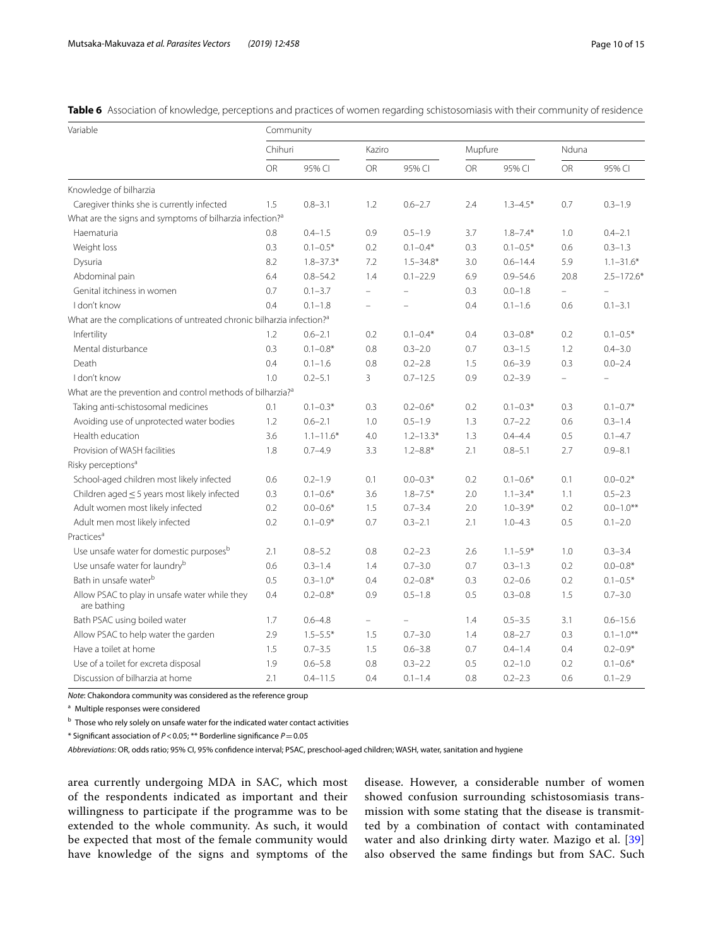<span id="page-9-0"></span>

|  | Table 6 Association of knowledge, perceptions and practices of women regarding schistosomiasis with their community of residence |  |  |  |  |  |  |  |  |  |
|--|----------------------------------------------------------------------------------------------------------------------------------|--|--|--|--|--|--|--|--|--|
|--|----------------------------------------------------------------------------------------------------------------------------------|--|--|--|--|--|--|--|--|--|

| Variable                                                                          | Community |               |          |               |         |              |                |                |  |  |
|-----------------------------------------------------------------------------------|-----------|---------------|----------|---------------|---------|--------------|----------------|----------------|--|--|
|                                                                                   | Chihuri   |               | Kaziro   |               | Mupfure |              | Nduna          |                |  |  |
|                                                                                   | OR        | 95% CI        | OR       | 95% CI        | OR      | 95% CI       | OR             | 95% CI         |  |  |
| Knowledge of bilharzia                                                            |           |               |          |               |         |              |                |                |  |  |
| Caregiver thinks she is currently infected                                        | 1.5       | $0.8 - 3.1$   | 1.2      | $0.6 - 2.7$   | 2.4     | $1.3 - 4.5*$ | 0.7            | $0.3 - 1.9$    |  |  |
| What are the signs and symptoms of bilharzia infection? <sup>a</sup>              |           |               |          |               |         |              |                |                |  |  |
| Haematuria                                                                        | 0.8       | $0.4 - 1.5$   | 0.9      | $0.5 - 1.9$   | 3.7     | $1.8 - 7.4*$ | 1.0            | $0.4 - 2.1$    |  |  |
| Weight loss                                                                       | 0.3       | $0.1 - 0.5*$  | 0.2      | $0.1 - 0.4*$  | 0.3     | $0.1 - 0.5*$ | 0.6            | $0.3 - 1.3$    |  |  |
| Dysuria                                                                           | 8.2       | $1.8 - 37.3*$ | 7.2      | $1.5 - 34.8*$ | 3.0     | $0.6 - 14.4$ | 5.9            | $1.1 - 31.6*$  |  |  |
| Abdominal pain                                                                    | 6.4       | $0.8 - 54.2$  | 1.4      | $0.1 - 22.9$  | 6.9     | $0.9 - 54.6$ | 20.8           | $2.5 - 172.6*$ |  |  |
| Genital itchiness in women                                                        | 0.7       | $0.1 - 3.7$   | $=$      |               | 0.3     | $0.0 - 1.8$  | $\overline{a}$ |                |  |  |
| I don't know                                                                      | 0.4       | $0.1 - 1.8$   | $\equiv$ |               | 0.4     | $0.1 - 1.6$  | 0.6            | $0.1 - 3.1$    |  |  |
| What are the complications of untreated chronic bilharzia infection? <sup>a</sup> |           |               |          |               |         |              |                |                |  |  |
| Infertility                                                                       | 1.2       | $0.6 - 2.1$   | 0.2      | $0.1 - 0.4*$  | 0.4     | $0.3 - 0.8*$ | 0.2            | $0.1 - 0.5*$   |  |  |
| Mental disturbance                                                                | 0.3       | $0.1 - 0.8*$  | 0.8      | $0.3 - 2.0$   | 0.7     | $0.3 - 1.5$  | 1.2            | $0.4 - 3.0$    |  |  |
| Death                                                                             | 0.4       | $0.1 - 1.6$   | 0.8      | $0.2 - 2.8$   | 1.5     | $0.6 - 3.9$  | 0.3            | $0.0 - 2.4$    |  |  |
| I don't know                                                                      | 1.0       | $0.2 - 5.1$   | 3        | $0.7 - 12.5$  | 0.9     | $0.2 - 3.9$  | $\equiv$       | $=$            |  |  |
| What are the prevention and control methods of bilharzia? <sup>a</sup>            |           |               |          |               |         |              |                |                |  |  |
| Taking anti-schistosomal medicines                                                | 0.1       | $0.1 - 0.3*$  | 0.3      | $0.2 - 0.6*$  | 0.2     | $0.1 - 0.3*$ | 0.3            | $0.1 - 0.7*$   |  |  |
| Avoiding use of unprotected water bodies                                          | 1.2       | $0.6 - 2.1$   | 1.0      | $0.5 - 1.9$   | 1.3     | $0.7 - 2.2$  | 0.6            | $0.3 - 1.4$    |  |  |
| Health education                                                                  | 3.6       | $1.1 - 11.6*$ | 4.0      | $1.2 - 13.3*$ | 1.3     | $0.4 - 4.4$  | 0.5            | $0.1 - 4.7$    |  |  |
| Provision of WASH facilities                                                      | 1.8       | $0.7 - 4.9$   | 3.3      | $1.2 - 8.8*$  | 2.1     | $0.8 - 5.1$  | 2.7            | $0.9 - 8.1$    |  |  |
| Risky perceptions <sup>a</sup>                                                    |           |               |          |               |         |              |                |                |  |  |
| School-aged children most likely infected                                         | 0.6       | $0.2 - 1.9$   | 0.1      | $0.0 - 0.3*$  | 0.2     | $0.1 - 0.6*$ | 0.1            | $0.0 - 0.2*$   |  |  |
| Children aged $\leq$ 5 years most likely infected                                 | 0.3       | $0.1 - 0.6*$  | 3.6      | $1.8 - 7.5*$  | 2.0     | $1.1 - 3.4*$ | 1.1            | $0.5 - 2.3$    |  |  |
| Adult women most likely infected                                                  | 0.2       | $0.0 - 0.6*$  | 1.5      | $0.7 - 3.4$   | 2.0     | $1.0 - 3.9*$ | 0.2            | $0.0 - 1.0$ ** |  |  |
| Adult men most likely infected                                                    | 0.2       | $0.1 - 0.9*$  | 0.7      | $0.3 - 2.1$   | 2.1     | $1.0 - 4.3$  | 0.5            | $0.1 - 2.0$    |  |  |
| Practices <sup>a</sup>                                                            |           |               |          |               |         |              |                |                |  |  |
| Use unsafe water for domestic purposes <sup>b</sup>                               | 2.1       | $0.8 - 5.2$   | 0.8      | $0.2 - 2.3$   | 2.6     | $1.1 - 5.9*$ | 1.0            | $0.3 - 3.4$    |  |  |
| Use unsafe water for laundryb                                                     | 0.6       | $0.3 - 1.4$   | 1.4      | $0.7 - 3.0$   | 0.7     | $0.3 - 1.3$  | 0.2            | $0.0 - 0.8*$   |  |  |
| Bath in unsafe water <sup>b</sup>                                                 | 0.5       | $0.3 - 1.0*$  | 0.4      | $0.2 - 0.8*$  | 0.3     | $0.2 - 0.6$  | 0.2            | $0.1 - 0.5*$   |  |  |
| Allow PSAC to play in unsafe water while they<br>are bathing                      | 0.4       | $0.2 - 0.8*$  | 0.9      | $0.5 - 1.8$   | 0.5     | $0.3 - 0.8$  | 1.5            | $0.7 - 3.0$    |  |  |
| Bath PSAC using boiled water                                                      | 1.7       | $0.6 - 4.8$   | $\equiv$ |               | 1.4     | $0.5 - 3.5$  | 3.1            | $0.6 - 15.6$   |  |  |
| Allow PSAC to help water the garden                                               | 2.9       | $1.5 - 5.5*$  | 1.5      | $0.7 - 3.0$   | 1.4     | $0.8 - 2.7$  | 0.3            | $0.1 - 1.0***$ |  |  |
| Have a toilet at home                                                             | 1.5       | $0.7 - 3.5$   | 1.5      | $0.6 - 3.8$   | 0.7     | $0.4 - 1.4$  | 0.4            | $0.2 - 0.9*$   |  |  |
| Use of a toilet for excreta disposal                                              | 1.9       | $0.6 - 5.8$   | 0.8      | $0.3 - 2.2$   | 0.5     | $0.2 - 1.0$  | 0.2            | $0.1 - 0.6*$   |  |  |
| Discussion of bilharzia at home                                                   | 2.1       | $0.4 - 11.5$  | 0.4      | $0.1 - 1.4$   | 0.8     | $0.2 - 2.3$  | 0.6            | $0.1 - 2.9$    |  |  |

*Note*: Chakondora community was considered as the reference group

<sup>a</sup> Multiple responses were considered

 $<sup>b</sup>$  Those who rely solely on unsafe water for the indicated water contact activities</sup>

\* Signifcant association of *P*<0.05; \*\* Borderline signifcance *P*=0.05

*Abbreviations*: OR, odds ratio; 95% CI, 95% confdence interval; PSAC, preschool-aged children; WASH, water, sanitation and hygiene

area currently undergoing MDA in SAC, which most of the respondents indicated as important and their willingness to participate if the programme was to be extended to the whole community. As such, it would be expected that most of the female community would have knowledge of the signs and symptoms of the

disease. However, a considerable number of women showed confusion surrounding schistosomiasis transmission with some stating that the disease is transmitted by a combination of contact with contaminated water and also drinking dirty water. Mazigo et al. [\[39](#page-14-6)] also observed the same fndings but from SAC. Such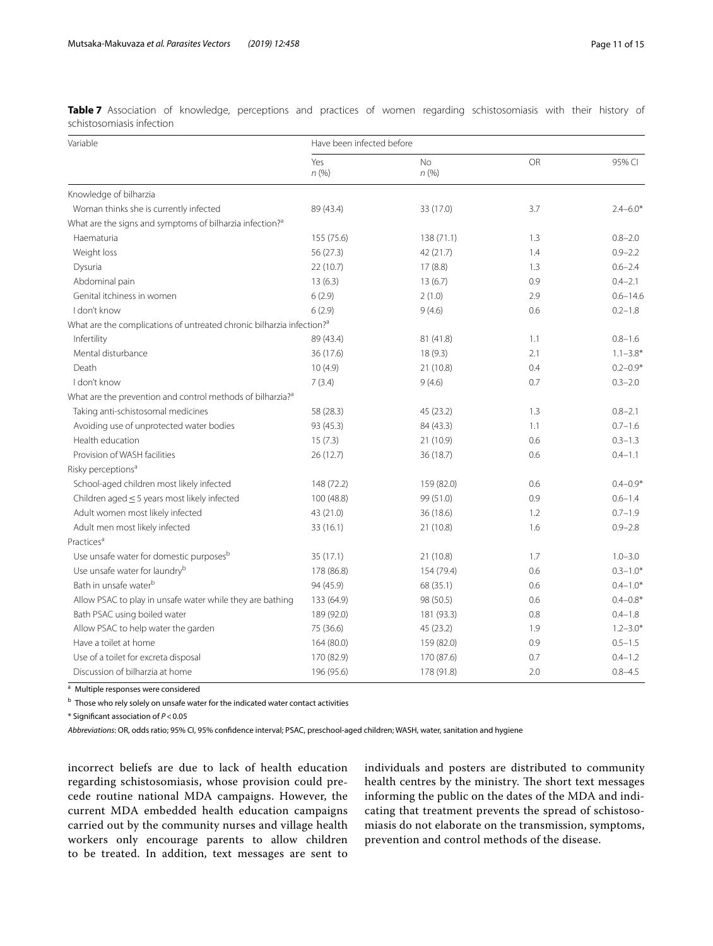<span id="page-10-0"></span>

|                           |  |  |  |  | Table 7 Association of knowledge, perceptions and practices of women regarding schistosomiasis with their history of |  |  |
|---------------------------|--|--|--|--|----------------------------------------------------------------------------------------------------------------------|--|--|
| schistosomiasis infection |  |  |  |  |                                                                                                                      |  |  |

| Variable                                                                          | Have been infected before |                   |           |              |  |  |  |  |
|-----------------------------------------------------------------------------------|---------------------------|-------------------|-----------|--------------|--|--|--|--|
|                                                                                   | Yes<br>n(%)               | <b>No</b><br>n(%) | <b>OR</b> | 95% CI       |  |  |  |  |
| Knowledge of bilharzia                                                            |                           |                   |           |              |  |  |  |  |
| Woman thinks she is currently infected                                            | 89 (43.4)                 | 33 (17.0)         | 3.7       | $2.4 - 6.0*$ |  |  |  |  |
| What are the signs and symptoms of bilharzia infection? <sup>a</sup>              |                           |                   |           |              |  |  |  |  |
| Haematuria                                                                        | 155 (75.6)                | 138(71.1)         | 1.3       | $0.8 - 2.0$  |  |  |  |  |
| Weight loss                                                                       | 56 (27.3)                 | 42 (21.7)         | 1.4       | $0.9 - 2.2$  |  |  |  |  |
| Dysuria                                                                           | 22(10.7)                  | 17(8.8)           | 1.3       | $0.6 - 2.4$  |  |  |  |  |
| Abdominal pain                                                                    | 13(6.3)                   | 13(6.7)           | 0.9       | $0.4 - 2.1$  |  |  |  |  |
| Genital itchiness in women                                                        | 6(2.9)                    | 2(1.0)            | 2.9       | $0.6 - 14.6$ |  |  |  |  |
| I don't know                                                                      | 6(2.9)                    | 9(4.6)            | 0.6       | $0.2 - 1.8$  |  |  |  |  |
| What are the complications of untreated chronic bilharzia infection? <sup>a</sup> |                           |                   |           |              |  |  |  |  |
| Infertility                                                                       | 89 (43.4)                 | 81 (41.8)         | 1.1       | $0.8 - 1.6$  |  |  |  |  |
| Mental disturbance                                                                | 36 (17.6)                 | 18(9.3)           | 2.1       | $1.1 - 3.8*$ |  |  |  |  |
| Death                                                                             | 10(4.9)                   | 21 (10.8)         | 0.4       | $0.2 - 0.9*$ |  |  |  |  |
| I don't know                                                                      | 7(3.4)                    | 9(4.6)            | 0.7       | $0.3 - 2.0$  |  |  |  |  |
| What are the prevention and control methods of bilharzia? <sup>a</sup>            |                           |                   |           |              |  |  |  |  |
| Taking anti-schistosomal medicines                                                | 58 (28.3)                 | 45 (23.2)         | 1.3       | $0.8 - 2.1$  |  |  |  |  |
| Avoiding use of unprotected water bodies                                          | 93 (45.3)                 | 84 (43.3)         | 1.1       | $0.7 - 1.6$  |  |  |  |  |
| Health education                                                                  | 15(7.3)                   | 21 (10.9)         | 0.6       | $0.3 - 1.3$  |  |  |  |  |
| Provision of WASH facilities                                                      | 26(12.7)                  | 36 (18.7)         | 0.6       | $0.4 - 1.1$  |  |  |  |  |
| Risky perceptions <sup>a</sup>                                                    |                           |                   |           |              |  |  |  |  |
| School-aged children most likely infected                                         | 148 (72.2)                | 159 (82.0)        | 0.6       | $0.4 - 0.9*$ |  |  |  |  |
| Children aged $\leq$ 5 years most likely infected                                 | 100 (48.8)                | 99 (51.0)         | 0.9       | $0.6 - 1.4$  |  |  |  |  |
| Adult women most likely infected                                                  | 43 (21.0)                 | 36 (18.6)         | 1.2       | $0.7 - 1.9$  |  |  |  |  |
| Adult men most likely infected                                                    | 33(16.1)                  | 21(10.8)          | 1.6       | $0.9 - 2.8$  |  |  |  |  |
| Practices <sup>a</sup>                                                            |                           |                   |           |              |  |  |  |  |
| Use unsafe water for domestic purposes <sup>b</sup>                               | 35 (17.1)                 | 21 (10.8)         | 1.7       | $1.0 - 3.0$  |  |  |  |  |
| Use unsafe water for laundry <sup>b</sup>                                         | 178 (86.8)                | 154 (79.4)        | 0.6       | $0.3 - 1.0*$ |  |  |  |  |
| Bath in unsafe water <sup>b</sup>                                                 | 94 (45.9)                 | 68 (35.1)         | 0.6       | $0.4 - 1.0*$ |  |  |  |  |
| Allow PSAC to play in unsafe water while they are bathing                         | 133 (64.9)                | 98 (50.5)         | 0.6       | $0.4 - 0.8*$ |  |  |  |  |
| Bath PSAC using boiled water                                                      | 189 (92.0)                | 181 (93.3)        | 0.8       | $0.4 - 1.8$  |  |  |  |  |
| Allow PSAC to help water the garden                                               | 75 (36.6)                 | 45 (23.2)         | 1.9       | $1.2 - 3.0*$ |  |  |  |  |
| Have a toilet at home                                                             | 164 (80.0)                | 159 (82.0)        | 0.9       | $0.5 - 1.5$  |  |  |  |  |
| Use of a toilet for excreta disposal                                              | 170 (82.9)                | 170 (87.6)        | 0.7       | $0.4 - 1.2$  |  |  |  |  |
| Discussion of bilharzia at home                                                   | 196 (95.6)                | 178 (91.8)        | 2.0       | $0.8 - 4.5$  |  |  |  |  |

a Multiple responses were considered

b Those who rely solely on unsafe water for the indicated water contact activities

\* Signifcant association of *P*<0.05

*Abbreviations*: OR, odds ratio; 95% CI, 95% confdence interval; PSAC, preschool-aged children; WASH, water, sanitation and hygiene

incorrect beliefs are due to lack of health education regarding schistosomiasis, whose provision could precede routine national MDA campaigns. However, the current MDA embedded health education campaigns carried out by the community nurses and village health workers only encourage parents to allow children to be treated. In addition, text messages are sent to

individuals and posters are distributed to community health centres by the ministry. The short text messages informing the public on the dates of the MDA and indicating that treatment prevents the spread of schistosomiasis do not elaborate on the transmission, symptoms, prevention and control methods of the disease.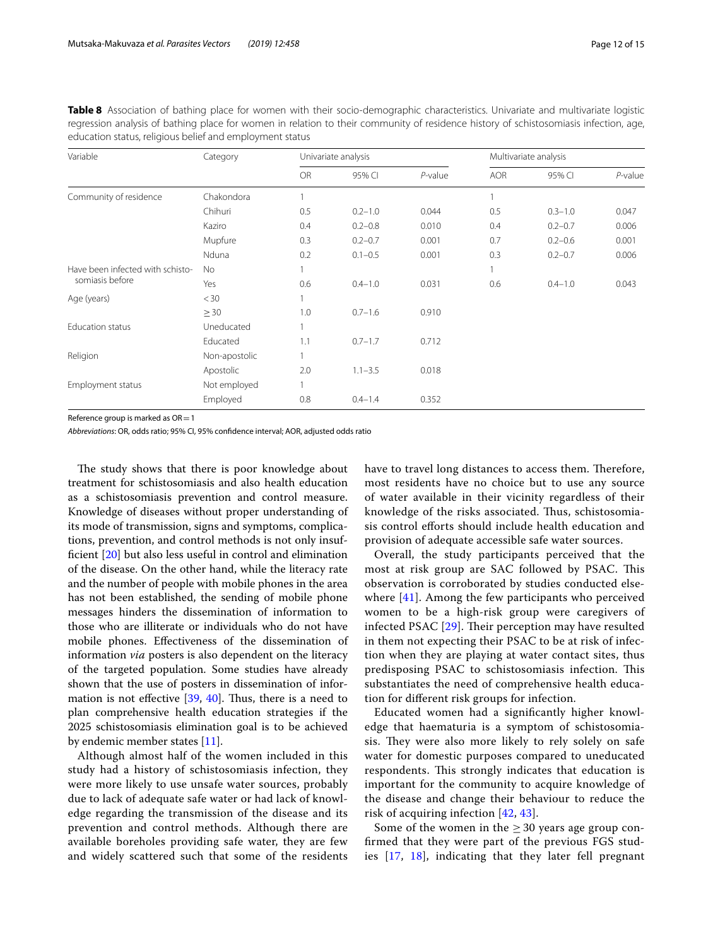<span id="page-11-0"></span>**Table 8** Association of bathing place for women with their socio-demographic characteristics. Univariate and multivariate logistic regression analysis of bathing place for women in relation to their community of residence history of schistosomiasis infection, age, education status, religious belief and employment status

| Variable<br>Community of residence<br>somiasis before                   | Category      |           | Univariate analysis |            |            | Multivariate analysis |            |  |  |
|-------------------------------------------------------------------------|---------------|-----------|---------------------|------------|------------|-----------------------|------------|--|--|
|                                                                         |               | <b>OR</b> | 95% CI              | $P$ -value | <b>AOR</b> | 95% CI                | $P$ -value |  |  |
|                                                                         | Chakondora    |           |                     |            |            |                       |            |  |  |
|                                                                         | Chihuri       | 0.5       | $0.2 - 1.0$         | 0.044      | 0.5        | $0.3 - 1.0$           | 0.047      |  |  |
|                                                                         | Kaziro        | 0.4       | $0.2 - 0.8$         | 0.010      | 0.4        | $0.2 - 0.7$           | 0.006      |  |  |
|                                                                         | Mupfure       | 0.3       | $0.2 - 0.7$         | 0.001      | 0.7        | $0.2 - 0.6$           | 0.001      |  |  |
|                                                                         | Nduna         | 0.2       | $0.1 - 0.5$         | 0.001      | 0.3        | $0.2 - 0.7$           | 0.006      |  |  |
| Have been infected with schisto-                                        | No            | 1         |                     |            |            |                       |            |  |  |
|                                                                         | Yes           | 0.6       | $0.4 - 1.0$         | 0.031      | 0.6        | $0.4 - 1.0$           | 0.043      |  |  |
|                                                                         | $<$ 30        |           |                     |            |            |                       |            |  |  |
|                                                                         | $\geq$ 30     | 1.0       | $0.7 - 1.6$         | 0.910      |            |                       |            |  |  |
| Age (years)<br><b>Education status</b><br>Religion<br>Employment status | Uneducated    | 1         |                     |            |            |                       |            |  |  |
|                                                                         | Educated      | 1.1       | $0.7 - 1.7$         | 0.712      |            |                       |            |  |  |
|                                                                         | Non-apostolic | 1         |                     |            |            |                       |            |  |  |
|                                                                         | Apostolic     | 2.0       | $1.1 - 3.5$         | 0.018      |            |                       |            |  |  |
|                                                                         | Not employed  |           |                     |            |            |                       |            |  |  |
|                                                                         | Employed      | 0.8       | $0.4 - 1.4$         | 0.352      |            |                       |            |  |  |
|                                                                         |               |           |                     |            |            |                       |            |  |  |

Reference group is marked as  $OR = 1$ 

*Abbreviations*: OR, odds ratio; 95% CI, 95% confdence interval; AOR, adjusted odds ratio

The study shows that there is poor knowledge about treatment for schistosomiasis and also health education as a schistosomiasis prevention and control measure. Knowledge of diseases without proper understanding of its mode of transmission, signs and symptoms, complications, prevention, and control methods is not only insuffcient [\[20\]](#page-13-12) but also less useful in control and elimination of the disease. On the other hand, while the literacy rate and the number of people with mobile phones in the area has not been established, the sending of mobile phone messages hinders the dissemination of information to those who are illiterate or individuals who do not have mobile phones. Efectiveness of the dissemination of information *via* posters is also dependent on the literacy of the targeted population. Some studies have already shown that the use of posters in dissemination of information is not effective  $[39, 40]$  $[39, 40]$  $[39, 40]$  $[39, 40]$  $[39, 40]$ . Thus, there is a need to plan comprehensive health education strategies if the 2025 schistosomiasis elimination goal is to be achieved by endemic member states [\[11\]](#page-13-8).

Although almost half of the women included in this study had a history of schistosomiasis infection, they were more likely to use unsafe water sources, probably due to lack of adequate safe water or had lack of knowledge regarding the transmission of the disease and its prevention and control methods. Although there are available boreholes providing safe water, they are few and widely scattered such that some of the residents have to travel long distances to access them. Therefore, most residents have no choice but to use any source of water available in their vicinity regardless of their knowledge of the risks associated. Thus, schistosomiasis control efforts should include health education and provision of adequate accessible safe water sources.

Overall, the study participants perceived that the most at risk group are SAC followed by PSAC. This observation is corroborated by studies conducted elsewhere [[41\]](#page-14-8). Among the few participants who perceived women to be a high-risk group were caregivers of infected PSAC  $[29]$  $[29]$  $[29]$ . Their perception may have resulted in them not expecting their PSAC to be at risk of infection when they are playing at water contact sites, thus predisposing PSAC to schistosomiasis infection. This substantiates the need of comprehensive health education for diferent risk groups for infection.

Educated women had a signifcantly higher knowledge that haematuria is a symptom of schistosomiasis. They were also more likely to rely solely on safe water for domestic purposes compared to uneducated respondents. This strongly indicates that education is important for the community to acquire knowledge of the disease and change their behaviour to reduce the risk of acquiring infection [\[42,](#page-14-9) [43\]](#page-14-10).

Some of the women in the  $\geq$  30 years age group confrmed that they were part of the previous FGS studies [[17](#page-13-20), [18\]](#page-13-10), indicating that they later fell pregnant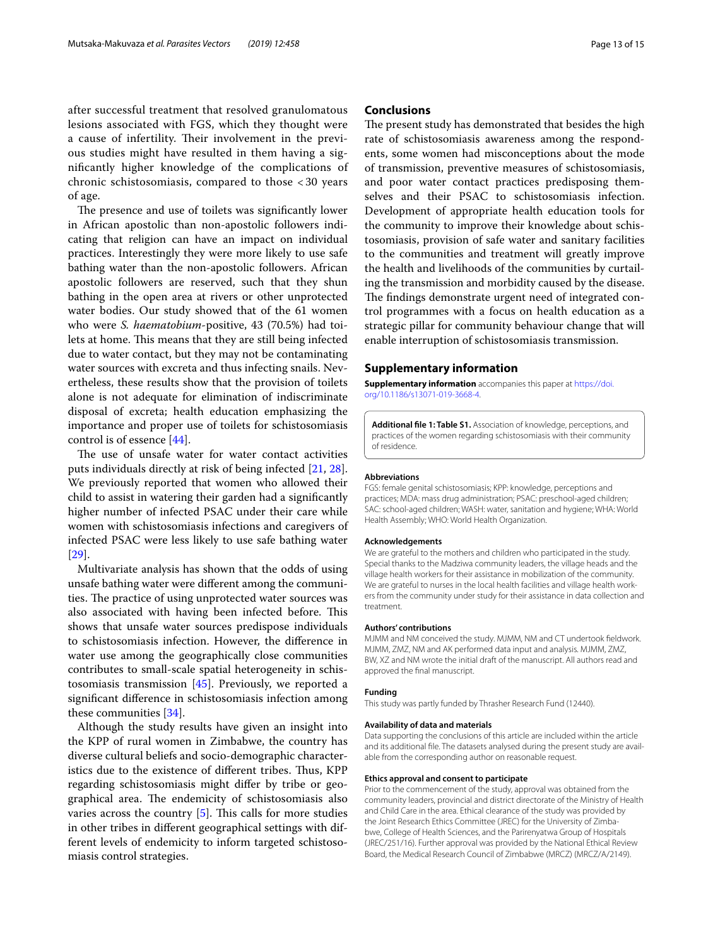after successful treatment that resolved granulomatous lesions associated with FGS, which they thought were a cause of infertility. Their involvement in the previous studies might have resulted in them having a signifcantly higher knowledge of the complications of chronic schistosomiasis, compared to those < 30 years of age.

The presence and use of toilets was significantly lower in African apostolic than non-apostolic followers indicating that religion can have an impact on individual practices. Interestingly they were more likely to use safe bathing water than the non-apostolic followers. African apostolic followers are reserved, such that they shun bathing in the open area at rivers or other unprotected water bodies. Our study showed that of the 61 women who were *S. haematobium*-positive, 43 (70.5%) had toilets at home. This means that they are still being infected due to water contact, but they may not be contaminating water sources with excreta and thus infecting snails. Nevertheless, these results show that the provision of toilets alone is not adequate for elimination of indiscriminate disposal of excreta; health education emphasizing the importance and proper use of toilets for schistosomiasis control is of essence [\[44\]](#page-14-11).

The use of unsafe water for water contact activities puts individuals directly at risk of being infected [[21](#page-13-13), [28](#page-13-16)]. We previously reported that women who allowed their child to assist in watering their garden had a signifcantly higher number of infected PSAC under their care while women with schistosomiasis infections and caregivers of infected PSAC were less likely to use safe bathing water [[29\]](#page-13-17).

Multivariate analysis has shown that the odds of using unsafe bathing water were diferent among the communities. The practice of using unprotected water sources was also associated with having been infected before. This shows that unsafe water sources predispose individuals to schistosomiasis infection. However, the diference in water use among the geographically close communities contributes to small-scale spatial heterogeneity in schistosomiasis transmission [[45](#page-14-12)]. Previously, we reported a signifcant diference in schistosomiasis infection among these communities [\[34](#page-14-2)].

Although the study results have given an insight into the KPP of rural women in Zimbabwe, the country has diverse cultural beliefs and socio-demographic characteristics due to the existence of different tribes. Thus, KPP regarding schistosomiasis might difer by tribe or geographical area. The endemicity of schistosomiasis also varies across the country  $[5]$ . This calls for more studies in other tribes in diferent geographical settings with different levels of endemicity to inform targeted schistosomiasis control strategies.

## **Conclusions**

The present study has demonstrated that besides the high rate of schistosomiasis awareness among the respondents, some women had misconceptions about the mode of transmission, preventive measures of schistosomiasis, and poor water contact practices predisposing themselves and their PSAC to schistosomiasis infection. Development of appropriate health education tools for the community to improve their knowledge about schistosomiasis, provision of safe water and sanitary facilities to the communities and treatment will greatly improve the health and livelihoods of the communities by curtailing the transmission and morbidity caused by the disease. The findings demonstrate urgent need of integrated control programmes with a focus on health education as a strategic pillar for community behaviour change that will enable interruption of schistosomiasis transmission.

#### **Supplementary information**

**Supplementary information** accompanies this paper at [https://doi.](https://doi.org/10.1186/s13071-019-3668-4) [org/10.1186/s13071-019-3668-4.](https://doi.org/10.1186/s13071-019-3668-4)

<span id="page-12-0"></span>**Additional fle 1: Table S1.** Association of knowledge, perceptions, and practices of the women regarding schistosomiasis with their community of residence.

#### **Abbreviations**

FGS: female genital schistosomiasis; KPP: knowledge, perceptions and practices; MDA: mass drug administration; PSAC: preschool-aged children; SAC: school-aged children; WASH: water, sanitation and hygiene; WHA: World Health Assembly; WHO: World Health Organization.

#### **Acknowledgements**

We are grateful to the mothers and children who participated in the study. Special thanks to the Madziwa community leaders, the village heads and the village health workers for their assistance in mobilization of the community. We are grateful to nurses in the local health facilities and village health workers from the community under study for their assistance in data collection and treatment.

#### **Authors' contributions**

MJMM and NM conceived the study. MJMM, NM and CT undertook feldwork. MJMM, ZMZ, NM and AK performed data input and analysis. MJMM, ZMZ, BW, XZ and NM wrote the initial draft of the manuscript. All authors read and approved the fnal manuscript.

#### **Funding**

This study was partly funded by Thrasher Research Fund (12440).

#### **Availability of data and materials**

Data supporting the conclusions of this article are included within the article and its additional file. The datasets analysed during the present study are available from the corresponding author on reasonable request.

#### **Ethics approval and consent to participate**

Prior to the commencement of the study, approval was obtained from the community leaders, provincial and district directorate of the Ministry of Health and Child Care in the area. Ethical clearance of the study was provided by the Joint Research Ethics Committee (JREC) for the University of Zimbabwe, College of Health Sciences, and the Parirenyatwa Group of Hospitals (JREC/251/16). Further approval was provided by the National Ethical Review Board, the Medical Research Council of Zimbabwe (MRCZ) (MRCZ/A/2149).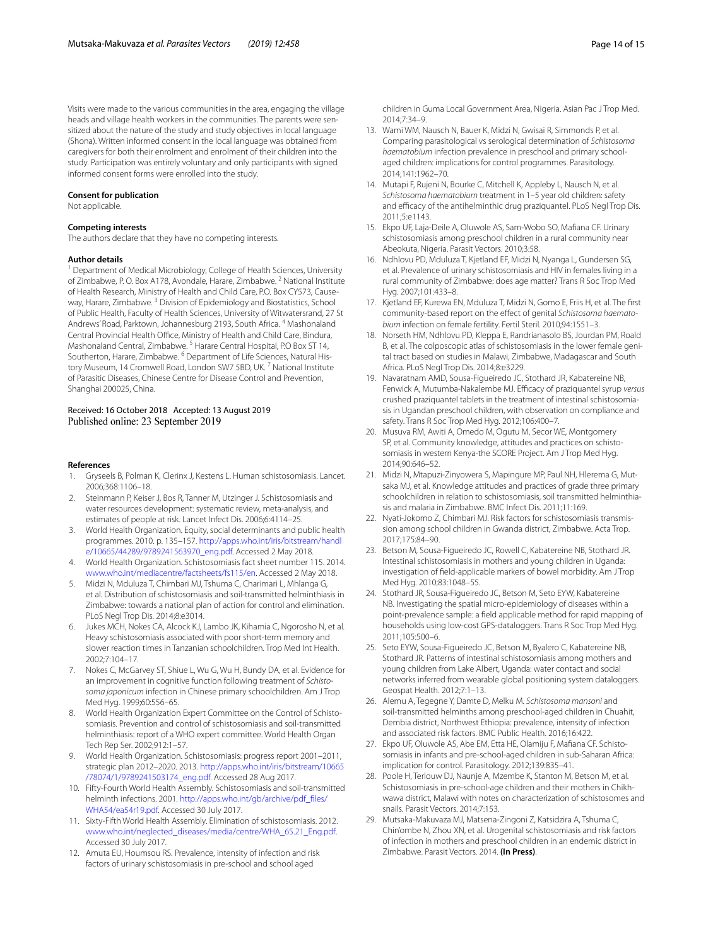Visits were made to the various communities in the area, engaging the village heads and village health workers in the communities. The parents were sensitized about the nature of the study and study objectives in local language (Shona). Written informed consent in the local language was obtained from caregivers for both their enrolment and enrolment of their children into the study. Participation was entirely voluntary and only participants with signed informed consent forms were enrolled into the study.

#### **Consent for publication**

Not applicable.

### **Competing interests**

The authors declare that they have no competing interests.

#### **Author details**

<sup>1</sup> Department of Medical Microbiology, College of Health Sciences, University of Zimbabwe, P. O. Box A178, Avondale, Harare, Zimbabwe. <sup>2</sup> National Institute of Health Research, Ministry of Health and Child Care, P.O. Box CY573, Causeway, Harare, Zimbabwe. 3 Division of Epidemiology and Biostatistics, School of Public Health, Faculty of Health Sciences, University of Witwatersrand, 27 St Andrews' Road, Parktown, Johannesburg 2193, South Africa. 4 Mashonaland Central Provincial Health Office, Ministry of Health and Child Care, Bindura, Mashonaland Central, Zimbabwe.<sup>5</sup> Harare Central Hospital, P.O Box ST 14, Southerton, Harare, Zimbabwe. <sup>6</sup> Department of Life Sciences, Natural History Museum, 14 Cromwell Road, London SW7 5BD, UK.<sup>7</sup> National Institute of Parasitic Diseases, Chinese Centre for Disease Control and Prevention, Shanghai 200025, China.

#### Received: 16 October 2018 Accepted: 13 August 2019 Published online: 23 September 2019

#### **References**

- <span id="page-13-0"></span>1. Gryseels B, Polman K, Clerinx J, Kestens L. Human schistosomiasis. Lancet. 2006;368:1106–18.
- <span id="page-13-1"></span>Steinmann P, Keiser J, Bos R, Tanner M, Utzinger J. Schistosomiasis and water resources development: systematic review, meta-analysis, and estimates of people at risk. Lancet Infect Dis. 2006;6:4114–25.
- <span id="page-13-2"></span>3. World Health Organization. Equity, social determinants and public health programmes. 2010. p. 135–157. [http://apps.who.int/iris/bitstream/handl](http://apps.who.int/iris/bitstream/handle/10665/44289/9789241563970_eng.pdf) [e/10665/44289/9789241563970\\_eng.pdf](http://apps.who.int/iris/bitstream/handle/10665/44289/9789241563970_eng.pdf). Accessed 2 May 2018.
- <span id="page-13-3"></span>4. World Health Organization. Schistosomiasis fact sheet number 115. 2014. [www.who.int/mediacentre/factsheets/fs115/en.](http://www.who.int/mediacentre/factsheets/fs115/en) Accessed 2 May 2018.
- <span id="page-13-4"></span>5. Midzi N, Mduluza T, Chimbari MJ, Tshuma C, Charimari L, Mhlanga G, et al. Distribution of schistosomiasis and soil-transmitted helminthiasis in Zimbabwe: towards a national plan of action for control and elimination. PLoS Negl Trop Dis. 2014;8:e3014.
- <span id="page-13-5"></span>6. Jukes MCH, Nokes CA, Alcock KJ, Lambo JK, Kihamia C, Ngorosho N, et al. Heavy schistosomiasis associated with poor short-term memory and slower reaction times in Tanzanian schoolchildren. Trop Med Int Health. 2002;7:104–17.
- 7. Nokes C, McGarvey ST, Shiue L, Wu G, Wu H, Bundy DA, et al. Evidence for an improvement in cognitive function following treatment of *Schistosoma japonicum* infection in Chinese primary schoolchildren. Am J Trop Med Hyg. 1999;60:556–65.
- <span id="page-13-18"></span>8. World Health Organization Expert Committee on the Control of Schistosomiasis. Prevention and control of schistosomiasis and soil-transmitted helminthiasis: report of a WHO expert committee. World Health Organ Tech Rep Ser. 2002;912:1–57.
- <span id="page-13-6"></span>9. World Health Organization. Schistosomiasis: progress report 2001–2011, strategic plan 2012–2020. 2013. [http://apps.who.int/iris/bitstream/10665](http://apps.who.int/iris/bitstream/10665/78074/1/9789241503174_eng.pdf) [/78074/1/9789241503174\\_eng.pdf.](http://apps.who.int/iris/bitstream/10665/78074/1/9789241503174_eng.pdf) Accessed 28 Aug 2017.
- <span id="page-13-7"></span>10. Fifty-Fourth World Health Assembly. Schistosomiasis and soil-transmitted helminth infections. 2001. [http://apps.who.int/gb/archive/pdf\\_fles/](http://apps.who.int/gb/archive/pdf_files/WHA54/ea54r19.pdf) [WHA54/ea54r19.pdf](http://apps.who.int/gb/archive/pdf_files/WHA54/ea54r19.pdf). Accessed 30 July 2017.
- <span id="page-13-8"></span>11. Sixty-Fifth World Health Assembly. Elimination of schistosomiasis. 2012. [www.who.int/neglected\\_diseases/media/centre/WHA\\_65.21\\_Eng.pdf](http://www.who.int/neglected_diseases/media/centre/WHA_65.21_Eng.pdf). Accessed 30 July 2017.
- <span id="page-13-9"></span>12. Amuta EU, Houmsou RS. Prevalence, intensity of infection and risk factors of urinary schistosomiasis in pre-school and school aged

children in Guma Local Government Area, Nigeria. Asian Pac J Trop Med. 2014;7:34–9.

- 13. Wami WM, Nausch N, Bauer K, Midzi N, Gwisai R, Simmonds P, et al. Comparing parasitological vs serological determination of *Schistosoma haematobium* infection prevalence in preschool and primary schoolaged children: implications for control programmes. Parasitology. 2014;141:1962–70.
- 14. Mutapi F, Rujeni N, Bourke C, Mitchell K, Appleby L, Nausch N, et al. *Schistosoma haematobium* treatment in 1–5 year old children: safety and efficacy of the antihelminthic drug praziquantel. PLoS Negl Trop Dis. 2011;5:e1143.
- 15. Ekpo UF, Laja-Deile A, Oluwole AS, Sam-Wobo SO, Mafana CF. Urinary schistosomiasis among preschool children in a rural community near Abeokuta, Nigeria. Parasit Vectors. 2010;3:58.
- <span id="page-13-19"></span>16. Ndhlovu PD, Mduluza T, Kjetland EF, Midzi N, Nyanga L, Gundersen SG, et al. Prevalence of urinary schistosomiasis and HIV in females living in a rural community of Zimbabwe: does age matter? Trans R Soc Trop Med Hyg. 2007;101:433–8.
- <span id="page-13-20"></span>17. Kjetland EF, Kurewa EN, Mduluza T, Midzi N, Gomo E, Friis H, et al. The frst community-based report on the efect of genital *Schistosoma haematobium* infection on female fertility. Fertil Steril. 2010;94:1551–3.
- <span id="page-13-10"></span>18. Norseth HM, Ndhlovu PD, Kleppa E, Randrianasolo BS, Jourdan PM, Roald B, et al. The colposcopic atlas of schistosomiasis in the lower female genital tract based on studies in Malawi, Zimbabwe, Madagascar and South Africa. PLoS Negl Trop Dis. 2014;8:e3229.
- <span id="page-13-11"></span>19. Navaratnam AMD, Sousa-Figueiredo JC, Stothard JR, Kabatereine NB, Fenwick A, Mutumba-Nakalembe MJ. Efficacy of praziquantel syrup *versus* crushed praziquantel tablets in the treatment of intestinal schistosomiasis in Ugandan preschool children, with observation on compliance and safety. Trans R Soc Trop Med Hyg. 2012;106:400–7.
- <span id="page-13-12"></span>20. Musuva RM, Awiti A, Omedo M, Ogutu M, Secor WE, Montgomery SP, et al. Community knowledge, attitudes and practices on schistosomiasis in western Kenya-the SCORE Project. Am J Trop Med Hyg. 2014;90:646–52.
- <span id="page-13-13"></span>21. Midzi N, Mtapuzi-Zinyowera S, Mapingure MP, Paul NH, Hlerema G, Mutsaka MJ, et al. Knowledge attitudes and practices of grade three primary schoolchildren in relation to schistosomiasis, soil transmitted helminthiasis and malaria in Zimbabwe. BMC Infect Dis. 2011;11:169.
- <span id="page-13-14"></span>22. Nyati-Jokomo Z, Chimbari MJ. Risk factors for schistosomiasis transmission among school children in Gwanda district, Zimbabwe. Acta Trop. 2017;175:84–90.
- <span id="page-13-15"></span>23. Betson M, Sousa-Figueiredo JC, Rowell C, Kabatereine NB, Stothard JR. Intestinal schistosomiasis in mothers and young children in Uganda: investigation of feld-applicable markers of bowel morbidity. Am J Trop Med Hyg. 2010;83:1048–55.
- 24. Stothard JR, Sousa-Figueiredo JC, Betson M, Seto EYW, Kabatereine NB. Investigating the spatial micro-epidemiology of diseases within a point-prevalence sample: a feld applicable method for rapid mapping of households using low-cost GPS-dataloggers. Trans R Soc Trop Med Hyg. 2011;105:500–6.
- 25. Seto EYW, Sousa-Figueiredo JC, Betson M, Byalero C, Kabatereine NB, Stothard JR. Patterns of intestinal schistosomiasis among mothers and young children from Lake Albert, Uganda: water contact and social networks inferred from wearable global positioning system dataloggers. Geospat Health. 2012;7:1–13.
- 26. Alemu A, Tegegne Y, Damte D, Melku M. *Schistosoma mansoni* and soil-transmitted helminths among preschool-aged children in Chuahit, Dembia district, Northwest Ethiopia: prevalence, intensity of infection and associated risk factors. BMC Public Health. 2016;16:422.
- 27. Ekpo UF, Oluwole AS, Abe EM, Etta HE, Olamiju F, Mafiana CF. Schistosomiasis in infants and pre-school-aged children in sub-Saharan Africa: implication for control. Parasitology. 2012;139:835–41.
- <span id="page-13-16"></span>28. Poole H, Terlouw DJ, Naunje A, Mzembe K, Stanton M, Betson M, et al. Schistosomiasis in pre-school-age children and their mothers in Chikhwawa district, Malawi with notes on characterization of schistosomes and snails. Parasit Vectors. 2014;7:153.
- <span id="page-13-17"></span>29. Mutsaka-Makuvaza MJ, Matsena-Zingoni Z, Katsidzira A, Tshuma C, Chin'ombe N, Zhou XN, et al. Urogenital schistosomiasis and risk factors of infection in mothers and preschool children in an endemic district in Zimbabwe. Parasit Vectors. 2014. **(In Press)**.